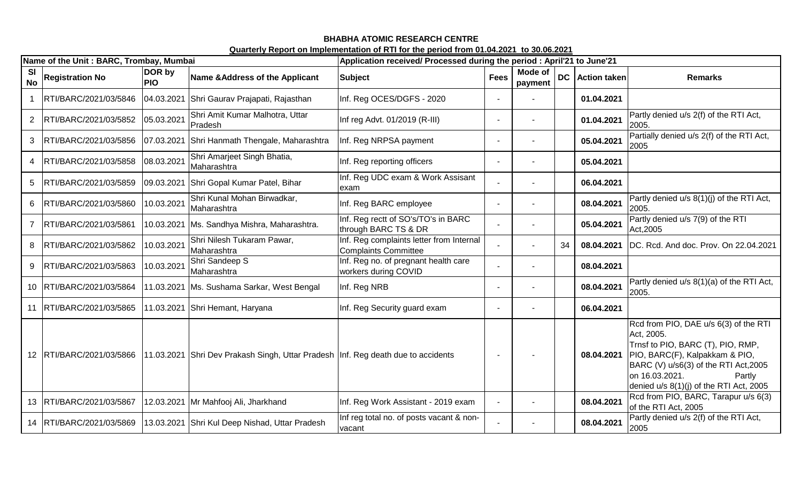### **BHABHA ATOMIC RESEARCH CENTRE Quarterly Report on Implementation of RTI for the period from 01.04.2021 to 30.06.2021**

|                        | Name of the Unit: BARC, Trombay, Mumbai |                      |                                                                                                           | Application received/ Processed during the period : April'21 to June'21 |             |                    |    |                 |                                                                                                                                                                                                                                              |
|------------------------|-----------------------------------------|----------------------|-----------------------------------------------------------------------------------------------------------|-------------------------------------------------------------------------|-------------|--------------------|----|-----------------|----------------------------------------------------------------------------------------------------------------------------------------------------------------------------------------------------------------------------------------------|
| <b>SI</b><br><b>No</b> | <b>Registration No</b>                  | DOR by<br><b>PIO</b> | Name & Address of the Applicant                                                                           | <b>Subject</b>                                                          | <b>Fees</b> | Mode of<br>payment |    | DC Action taken | <b>Remarks</b>                                                                                                                                                                                                                               |
|                        | RTI/BARC/2021/03/5846                   |                      | 04.03.2021 Shri Gaurav Prajapati, Rajasthan                                                               | Inf. Reg OCES/DGFS - 2020                                               |             |                    |    | 01.04.2021      |                                                                                                                                                                                                                                              |
|                        | RTI/BARC/2021/03/5852                   | 05.03.2021           | Shri Amit Kumar Malhotra, Uttar<br>Pradesh                                                                | Inf reg Advt. 01/2019 (R-III)                                           |             |                    |    | 01.04.2021      | Partly denied u/s 2(f) of the RTI Act,<br>2005.                                                                                                                                                                                              |
| 3                      | RTI/BARC/2021/03/5856                   | 07.03.2021           | Shri Hanmath Thengale, Maharashtra                                                                        | Inf. Reg NRPSA payment                                                  |             |                    |    | 05.04.2021      | Partially denied u/s 2(f) of the RTI Act,<br>2005                                                                                                                                                                                            |
| 4                      | RTI/BARC/2021/03/5858                   | 08.03.2021           | Shri Amarjeet Singh Bhatia,<br>Maharashtra                                                                | Inf. Reg reporting officers                                             |             |                    |    | 05.04.2021      |                                                                                                                                                                                                                                              |
| 5                      | RTI/BARC/2021/03/5859                   | 09.03.2021           | Shri Gopal Kumar Patel, Bihar                                                                             | Inf. Reg UDC exam & Work Assisant<br>exam                               |             |                    |    | 06.04.2021      |                                                                                                                                                                                                                                              |
| 6                      | RTI/BARC/2021/03/5860                   | 10.03.2021           | Shri Kunal Mohan Birwadkar,<br>Maharashtra                                                                | Inf. Reg BARC employee                                                  |             |                    |    | 08.04.2021      | Partly denied u/s 8(1)(j) of the RTI Act,<br>2005                                                                                                                                                                                            |
|                        | RTI/BARC/2021/03/5861                   | 10.03.2021           | Ms. Sandhya Mishra, Maharashtra.                                                                          | Inf. Reg rectt of SO's/TO's in BARC<br>through BARC TS & DR             |             |                    |    | 05.04.2021      | Partly denied u/s 7(9) of the RTI<br>Act, 2005                                                                                                                                                                                               |
| 8                      | RTI/BARC/2021/03/5862                   | 10.03.2021           | Shri Nilesh Tukaram Pawar,<br>Maharashtra                                                                 | Inf. Reg complaints letter from Internal<br>Complaints Committee        |             |                    | 34 | 08.04.2021      | DC. Rcd. And doc. Prov. On 22.04.2021                                                                                                                                                                                                        |
| 9                      | RTI/BARC/2021/03/5863                   | 10.03.2021           | Shri Sandeep S<br>Maharashtra                                                                             | Inf. Reg no. of pregnant health care<br>workers during COVID            |             |                    |    | 08.04.2021      |                                                                                                                                                                                                                                              |
| 10                     | RTI/BARC/2021/03/5864                   |                      | 11.03.2021 Ms. Sushama Sarkar, West Bengal                                                                | Inf. Reg NRB                                                            |             |                    |    | 08.04.2021      | Partly denied u/s 8(1)(a) of the RTI Act,<br>2005.                                                                                                                                                                                           |
| 11                     | RTI/BARC/2021/03/5865                   |                      | 11.03.2021 Shri Hemant, Haryana                                                                           | Inf. Reg Security guard exam                                            |             |                    |    | 06.04.2021      |                                                                                                                                                                                                                                              |
|                        |                                         |                      | 12 RTI/BARC/2021/03/5866 11.03.2021 Shri Dev Prakash Singh, Uttar Pradesh Inf. Reg death due to accidents |                                                                         |             |                    |    | 08.04.2021      | Rcd from PIO, DAE u/s 6(3) of the RTI<br>Act, 2005.<br>Trnsf to PIO, BARC (T), PIO, RMP,<br>PIO, BARC(F), Kalpakkam & PIO,<br>BARC (V) u/s6(3) of the RTI Act, 2005<br>on 16.03.2021.<br>Partly<br>denied $u/s$ 8(1)(j) of the RTI Act, 2005 |
| 13                     | RTI/BARC/2021/03/5867                   | 12.03.2021           | Mr Mahfooj Ali, Jharkhand                                                                                 | Inf. Reg Work Assistant - 2019 exam                                     |             |                    |    | 08.04.2021      | Rcd from PIO, BARC, Tarapur u/s 6(3)<br>of the RTI Act, 2005                                                                                                                                                                                 |
| 14                     | RTI/BARC/2021/03/5869                   |                      | 13.03.2021 Shri Kul Deep Nishad, Uttar Pradesh                                                            | Inf reg total no. of posts vacant & non-<br>vacant                      |             |                    |    | 08.04.2021      | Partly denied u/s 2(f) of the RTI Act,<br>2005                                                                                                                                                                                               |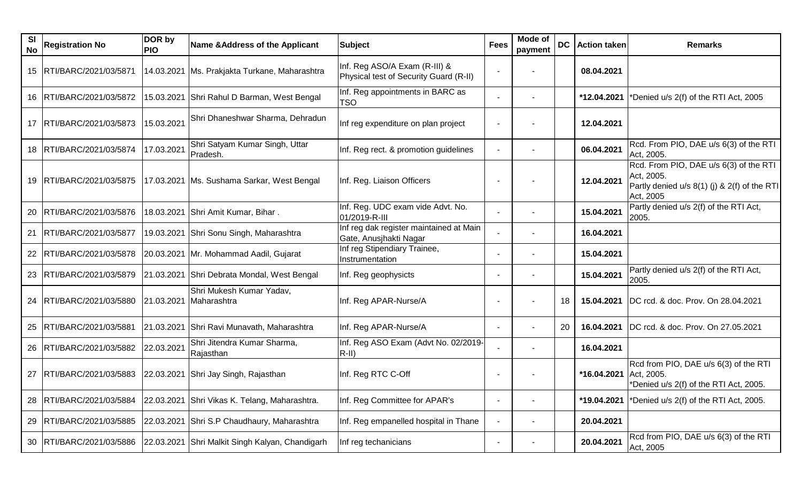| SI<br>No | <b>Registration No</b>     | DOR by<br><b>PIO</b> | Name & Address of the Applicant                 | <b>Subject</b>                                                          | <b>Fees</b>                  | <b>Mode of</b><br>payment | <b>DC</b> | <b>Action taken</b> | <b>Remarks</b>                                                                                                    |
|----------|----------------------------|----------------------|-------------------------------------------------|-------------------------------------------------------------------------|------------------------------|---------------------------|-----------|---------------------|-------------------------------------------------------------------------------------------------------------------|
|          | 15   RTI/BARC/2021/03/5871 | 14.03.2021           | Ms. Prakjakta Turkane, Maharashtra              | Inf. Reg ASO/A Exam (R-III) &<br>Physical test of Security Guard (R-II) |                              |                           |           | 08.04.2021          |                                                                                                                   |
|          | 16   RTI/BARC/2021/03/5872 |                      | 15.03.2021 Shri Rahul D Barman, West Bengal     | Inf. Reg appointments in BARC as<br><b>TSO</b>                          |                              |                           |           | *12.04.2021         | *Denied u/s 2(f) of the RTI Act, 2005                                                                             |
|          | 17   RTI/BARC/2021/03/5873 | 15.03.2021           | Shri Dhaneshwar Sharma, Dehradun                | Inf reg expenditure on plan project                                     |                              |                           |           | 12.04.2021          |                                                                                                                   |
|          | 18   RTI/BARC/2021/03/5874 | 17.03.2021           | Shri Satyam Kumar Singh, Uttar<br>Pradesh.      | Inf. Reg rect. & promotion guidelines                                   |                              |                           |           | 06.04.2021          | Rcd. From PIO, DAE u/s 6(3) of the RTI<br>Act, 2005.                                                              |
|          | 19   RTI/BARC/2021/03/5875 |                      | 17.03.2021   Ms. Sushama Sarkar, West Bengal    | Inf. Reg. Liaison Officers                                              |                              |                           |           | 12.04.2021          | Rcd. From PIO, DAE u/s 6(3) of the RTI<br>Act, 2005.<br>Partly denied u/s 8(1) (j) & 2(f) of the RTI<br>Act, 2005 |
| 20       | RTI/BARC/2021/03/5876      |                      | 18.03.2021 Shri Amit Kumar, Bihar.              | Inf. Reg. UDC exam vide Advt. No.<br>01/2019-R-III                      |                              |                           |           | 15.04.2021          | Partly denied u/s 2(f) of the RTI Act,<br>2005.                                                                   |
| 21       | RTI/BARC/2021/03/5877      |                      | 19.03.2021 Shri Sonu Singh, Maharashtra         | Inf reg dak register maintained at Main<br>Gate, Anusjhakti Nagar       |                              |                           |           | 16.04.2021          |                                                                                                                   |
| 22       | RTI/BARC/2021/03/5878      |                      | 20.03.2021 Mr. Mohammad Aadil, Gujarat          | Inf reg Stipendiary Trainee,<br>Instrumentation                         |                              |                           |           | 15.04.2021          |                                                                                                                   |
|          | 23   RTI/BARC/2021/03/5879 |                      | 21.03.2021 Shri Debrata Mondal, West Bengal     | Inf. Reg geophysicts                                                    |                              |                           |           | 15.04.2021          | Partly denied u/s 2(f) of the RTI Act,<br>2005.                                                                   |
|          | 24   RTI/BARC/2021/03/5880 | 21.03.2021           | Shri Mukesh Kumar Yadav,<br>Maharashtra         | Inf. Reg APAR-Nurse/A                                                   |                              |                           | 18        | 15.04.2021          | DC rcd. & doc. Prov. On 28.04.2021                                                                                |
|          | 25   RTI/BARC/2021/03/5881 |                      | 21.03.2021 Shri Ravi Munavath, Maharashtra      | Inf. Reg APAR-Nurse/A                                                   | $\qquad \qquad \blacksquare$ |                           | 20        | 16.04.2021          | DC rcd. & doc. Prov. On 27.05.2021                                                                                |
|          | 26   RTI/BARC/2021/03/5882 | 22.03.2021           | Shri Jitendra Kumar Sharma,<br>Rajasthan        | Inf. Reg ASO Exam (Advt No. 02/2019-<br>$R-II)$                         |                              |                           |           | 16.04.2021          |                                                                                                                   |
|          | 27   RTI/BARC/2021/03/5883 |                      | 22.03.2021 Shri Jay Singh, Rajasthan            | Inf. Reg RTC C-Off                                                      |                              |                           |           | *16.04.2021         | Rcd from PIO, DAE u/s 6(3) of the RTI<br>Act, 2005.<br>*Denied u/s 2(f) of the RTI Act, 2005.                     |
| 28       | RTI/BARC/2021/03/5884      |                      | 22.03.2021 Shri Vikas K. Telang, Maharashtra.   | Inf. Reg Committee for APAR's                                           |                              |                           |           | *19.04.2021         | *Denied u/s 2(f) of the RTI Act, 2005.                                                                            |
| 29       | RTI/BARC/2021/03/5885      | 22.03.2021           | Shri S.P Chaudhaury, Maharashtra                | Inf. Reg empanelled hospital in Thane                                   |                              |                           |           | 20.04.2021          |                                                                                                                   |
|          | 30   RTI/BARC/2021/03/5886 |                      | 22.03.2021 Shri Malkit Singh Kalyan, Chandigarh | Inf reg techanicians                                                    |                              | $\blacksquare$            |           | 20.04.2021          | Rcd from PIO, DAE u/s 6(3) of the RTI<br>Act, 2005                                                                |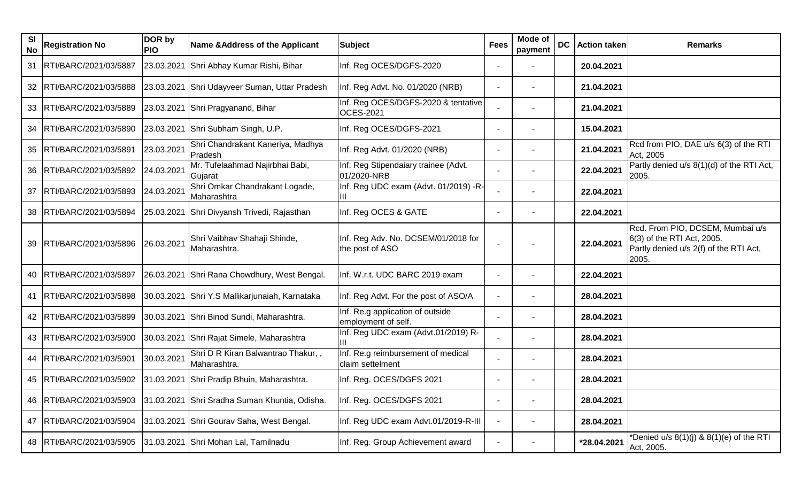| <b>SI</b><br><b>No</b> | <b>Registration No</b>     | DOR by<br><b>PIO</b> | Name & Address of the Applicant                    | <b>Subject</b>                                          | <b>Fees</b> | Mode of<br>payment | <b>DC</b> | <b>Action taken</b> | <b>Remarks</b>                                                                                                    |
|------------------------|----------------------------|----------------------|----------------------------------------------------|---------------------------------------------------------|-------------|--------------------|-----------|---------------------|-------------------------------------------------------------------------------------------------------------------|
| 31                     | RTI/BARC/2021/03/5887      | 23.03.2021           | Shri Abhay Kumar Rishi, Bihar                      | Inf. Reg OCES/DGFS-2020                                 |             |                    |           | 20.04.2021          |                                                                                                                   |
|                        | 32 RTI/BARC/2021/03/5888   | 23.03.2021           | Shri Udayveer Suman, Uttar Pradesh                 | Inf. Reg Advt. No. 01/2020 (NRB)                        |             |                    |           | 21.04.2021          |                                                                                                                   |
|                        | 33   RTI/BARC/2021/03/5889 |                      | 23.03.2021 Shri Pragyanand, Bihar                  | Inf. Reg OCES/DGFS-2020 & tentative<br><b>OCES-2021</b> |             |                    |           | 21.04.2021          |                                                                                                                   |
|                        | 34   RTI/BARC/2021/03/5890 | 23.03.2021           | Shri Subham Singh, U.P.                            | Inf. Reg OCES/DGFS-2021                                 |             |                    |           | 15.04.2021          |                                                                                                                   |
|                        | 35 RTI/BARC/2021/03/5891   | 23.03.2021           | Shri Chandrakant Kaneriya, Madhya<br>Pradesh       | Inf. Reg Advt. 01/2020 (NRB)                            |             |                    |           | 21.04.2021          | Rcd from PIO, DAE u/s 6(3) of the RTI<br>Act, 2005                                                                |
|                        | 36   RTI/BARC/2021/03/5892 | 24.03.2021           | Mr. Tufelaahmad Najirbhai Babi,<br>Gujarat         | Inf. Reg Stipendaiary trainee (Advt.<br>01/2020-NRB     |             |                    |           | 22.04.2021          | Partly denied u/s 8(1)(d) of the RTI Act,<br>2005.                                                                |
| 37                     | RTI/BARC/2021/03/5893      | 24.03.2021           | Shri Omkar Chandrakant Logade,<br>Maharashtra      | Inf. Reg UDC exam (Advt. 01/2019) -R-<br>ШL             |             |                    |           | 22.04.2021          |                                                                                                                   |
|                        | 38   RTI/BARC/2021/03/5894 |                      | 25.03.2021 Shri Divyansh Trivedi, Rajasthan        | Inf. Reg OCES & GATE                                    |             |                    |           | 22.04.2021          |                                                                                                                   |
| 39                     | RTI/BARC/2021/03/5896      | 26.03.2021           | Shri Vaibhav Shahaji Shinde,<br>Maharashtra.       | Inf. Reg Adv. No. DCSEM/01/2018 for<br>the post of ASO  |             |                    |           | 22.04.2021          | Rcd. From PIO, DCSEM, Mumbai u/s<br>6(3) of the RTI Act, 2005.<br>Partly denied u/s 2(f) of the RTI Act,<br>2005. |
|                        | 40   RTI/BARC/2021/03/5897 |                      | 26.03.2021 Shri Rana Chowdhury, West Bengal.       | Inf. W.r.t. UDC BARC 2019 exam                          |             |                    |           | 22.04.2021          |                                                                                                                   |
|                        | 41   RTI/BARC/2021/03/5898 |                      | 30.03.2021 Shri Y.S Mallikarjunaiah, Karnataka     | Inf. Reg Advt. For the post of ASO/A                    |             |                    |           | 28.04.2021          |                                                                                                                   |
|                        | 42   RTI/BARC/2021/03/5899 |                      | 30.03.2021 Shri Binod Sundi, Maharashtra.          | Inf. Re.g application of outside<br>employment of self. |             |                    |           | 28.04.2021          |                                                                                                                   |
|                        | 43   RTI/BARC/2021/03/5900 |                      | 30.03.2021 Shri Rajat Simele, Maharashtra          | Inf. Reg UDC exam (Advt.01/2019) R-                     |             |                    |           | 28.04.2021          |                                                                                                                   |
|                        | 44   RTI/BARC/2021/03/5901 | 30.03.2021           | Shri D R Kiran Balwantrao Thakur,,<br>Maharashtra. | Inf. Re.g reimbursement of medical<br>claim settelment  |             |                    |           | 28.04.2021          |                                                                                                                   |
|                        | 45   RTI/BARC/2021/03/5902 |                      | 31.03.2021 Shri Pradip Bhuin, Maharashtra.         | Inf. Reg. OCES/DGFS 2021                                |             |                    |           | 28.04.2021          |                                                                                                                   |
| 46                     | RTI/BARC/2021/03/5903      | 31.03.2021           | Shri Sradha Suman Khuntia, Odisha.                 | Inf. Reg. OCES/DGFS 2021                                |             |                    |           | 28.04.2021          |                                                                                                                   |
| 47                     | RTI/BARC/2021/03/5904      | 31.03.2021           | Shri Gourav Saha, West Bengal.                     | Inf. Reg UDC exam Advt.01/2019-R-III                    |             |                    |           | 28.04.2021          |                                                                                                                   |
|                        | 48   RTI/BARC/2021/03/5905 |                      | 31.03.2021 Shri Mohan Lal, Tamilnadu               | Inf. Reg. Group Achievement award                       |             | $\blacksquare$     |           | *28.04.2021         | *Denied u/s $8(1)(j)$ & $8(1)(e)$ of the RTI<br>Act, 2005.                                                        |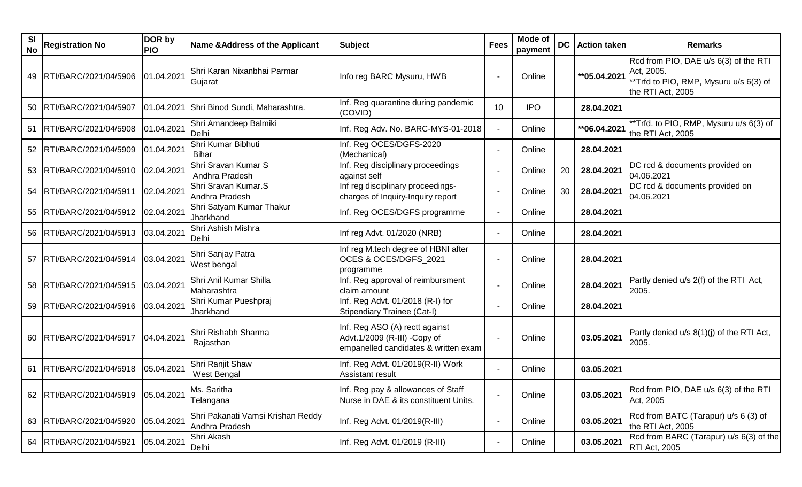| <b>SI</b><br>No | <b>Registration No</b>              | DOR by<br><b>PIO</b> | Name & Address of the Applicant                     | <b>Subject</b>                                                                                         | <b>Fees</b>     | Mode of<br>payment | <b>DC</b> | <b>Action taken</b> | <b>Remarks</b>                                                                                                      |
|-----------------|-------------------------------------|----------------------|-----------------------------------------------------|--------------------------------------------------------------------------------------------------------|-----------------|--------------------|-----------|---------------------|---------------------------------------------------------------------------------------------------------------------|
|                 | 49   RTI/BARC/2021/04/5906          | 01.04.2021           | Shri Karan Nixanbhai Parmar<br>Gujarat              | Info reg BARC Mysuru, HWB                                                                              |                 | Online             |           | **05.04.2021        | Rcd from PIO, DAE u/s 6(3) of the RTI<br>Act, 2005.<br>** Trfd to PIO, RMP, Mysuru u/s 6(3) of<br>the RTI Act, 2005 |
|                 | 50 RTI/BARC/2021/04/5907            |                      | 01.04.2021 Shri Binod Sundi, Maharashtra.           | Inf. Reg quarantine during pandemic<br>(COVID)                                                         | 10 <sup>°</sup> | <b>IPO</b>         |           | 28.04.2021          |                                                                                                                     |
| 51              | RTI/BARC/2021/04/5908               | 01.04.2021           | Shri Amandeep Balmiki<br>Delhi                      | Inf. Reg Adv. No. BARC-MYS-01-2018                                                                     |                 | Online             |           | **06.04.2021        | **Trfd. to PIO, RMP, Mysuru u/s 6(3) of<br>the RTI Act, 2005                                                        |
|                 | 52   RTI/BARC/2021/04/5909          | 01.04.2021           | Shri Kumar Bibhuti<br><b>Bihar</b>                  | Inf. Reg OCES/DGFS-2020<br>(Mechanical)                                                                |                 | Online             |           | 28.04.2021          |                                                                                                                     |
|                 | 53 RTI/BARC/2021/04/5910            | 02.04.2021           | Shri Sravan Kumar S<br>Andhra Pradesh               | Inf. Reg disciplinary proceedings<br>against self                                                      |                 | Online             | 20        | 28.04.2021          | DC rcd & documents provided on<br>04.06.2021                                                                        |
| 54              | RTI/BARC/2021/04/5911               | 02.04.2021           | Shri Sravan Kumar.S<br>Andhra Pradesh               | Inf reg disciplinary proceedings-<br>charges of Inquiry-Inquiry report                                 |                 | Online             | 30        | 28.04.2021          | DC rcd & documents provided on<br>04.06.2021                                                                        |
|                 | 55   RTI/BARC/2021/04/5912          | 02.04.2021           | Shri Satyam Kumar Thakur<br>Jharkhand               | Inf. Reg OCES/DGFS programme                                                                           |                 | Online             |           | 28.04.2021          |                                                                                                                     |
|                 | 56   RTI/BARC/2021/04/5913          | 03.04.2021           | Shri Ashish Mishra<br>Delhi                         | Inf reg Advt. 01/2020 (NRB)                                                                            |                 | Online             |           | 28.04.2021          |                                                                                                                     |
| 57              | RTI/BARC/2021/04/5914               | 03.04.2021           | Shri Sanjay Patra<br>West bengal                    | Inf reg M.tech degree of HBNI after<br>OCES & OCES/DGFS_2021<br>programme                              |                 | Online             |           | 28.04.2021          |                                                                                                                     |
| 58              | RTI/BARC/2021/04/5915               | 03.04.2021           | Shri Anil Kumar Shilla<br>Maharashtra               | Inf. Reg approval of reimbursment<br>claim amount                                                      |                 | Online             |           | 28.04.2021          | Partly denied u/s 2(f) of the RTI Act,<br>2005.                                                                     |
|                 | 59 RTI/BARC/2021/04/5916            | 03.04.2021           | Shri Kumar Pueshpraj<br>Jharkhand                   | Inf. Reg Advt. 01/2018 (R-I) for<br>Stipendiary Trainee (Cat-I)                                        |                 | Online             |           | 28.04.2021          |                                                                                                                     |
|                 | 60 RTI/BARC/2021/04/5917            | 04.04.2021           | Shri Rishabh Sharma<br>Rajasthan                    | Inf. Reg ASO (A) rectt against<br>Advt.1/2009 (R-III) -Copy of<br>empanelled candidates & written exam |                 | Online             |           | 03.05.2021          | Partly denied u/s 8(1)(j) of the RTI Act,<br>2005.                                                                  |
| 61              | RTI/BARC/2021/04/5918               | 05.04.2021           | Shri Ranjit Shaw<br>West Bengal                     | Inf. Reg Advt. 01/2019(R-II) Work<br><b>Assistant result</b>                                           |                 | Online             |           | 03.05.2021          |                                                                                                                     |
|                 | 62 RTI/BARC/2021/04/5919 05.04.2021 |                      | Ms. Saritha<br>Telangana                            | Inf. Reg pay & allowances of Staff<br>Nurse in DAE & its constituent Units.                            |                 | Online             |           | 03.05.2021          | Rcd from PIO, DAE u/s 6(3) of the RTI<br>Act, 2005                                                                  |
|                 | 63   RTI/BARC/2021/04/5920          | 05.04.2021           | Shri Pakanati Vamsi Krishan Reddy<br>Andhra Pradesh | Inf. Reg Advt. 01/2019(R-III)                                                                          |                 | Online             |           | 03.05.2021          | Rcd from BATC (Tarapur) u/s 6 (3) of<br>the RTI Act, 2005                                                           |
|                 | 64   RTI/BARC/2021/04/5921          | 05.04.2021           | Shri Akash<br>Delhi                                 | Inf. Reg Advt. 01/2019 (R-III)                                                                         |                 | Online             |           | 03.05.2021          | Rcd from BARC (Tarapur) u/s 6(3) of the<br>RTI Act, 2005                                                            |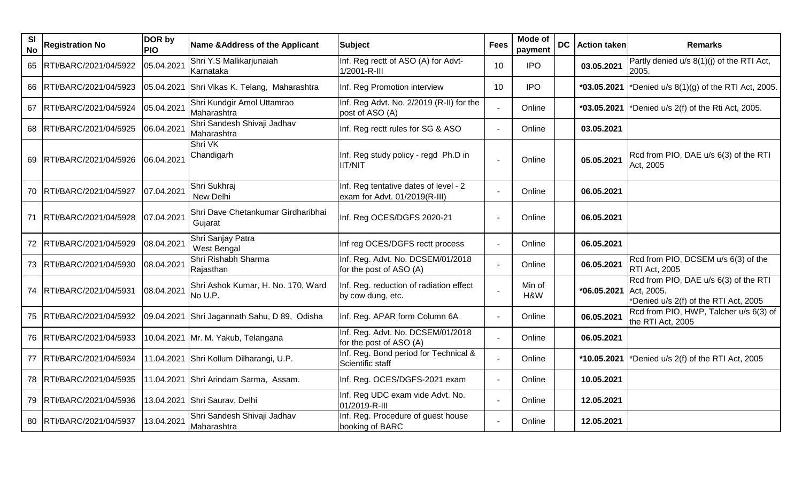| <b>SI</b><br><b>No</b> | <b>Registration No</b>     | DOR by<br><b>PIO</b> | <b>Name &amp;Address of the Applicant</b>     | <b>Subject</b>                                                         | <b>Fees</b> | Mode of<br>payment | <b>DC</b>   Action taken | <b>Remarks</b>                                                                               |
|------------------------|----------------------------|----------------------|-----------------------------------------------|------------------------------------------------------------------------|-------------|--------------------|--------------------------|----------------------------------------------------------------------------------------------|
|                        | 65   RTI/BARC/2021/04/5922 | 05.04.2021           | Shri Y.S Mallikarjunaiah<br>Karnataka         | Inf. Reg rectt of ASO (A) for Advt-<br>1/2001-R-III                    | 10          | <b>IPO</b>         | 03.05.2021               | Partly denied u/s 8(1)(j) of the RTI Act,<br>2005.                                           |
|                        | 66   RTI/BARC/2021/04/5923 |                      | 05.04.2021 Shri Vikas K. Telang, Maharashtra  | Inf. Reg Promotion interview                                           | 10          | <b>IPO</b>         | *03.05.2021              | *Denied $u/s$ 8(1)(g) of the RTI Act, 2005.                                                  |
|                        | 67 RTI/BARC/2021/04/5924   | 05.04.2021           | Shri Kundgir Amol Uttamrao<br>Maharashtra     | Inf. Reg Advt. No. 2/2019 (R-II) for the<br>post of ASO (A)            |             | Online             | *03.05.2021              | *Denied u/s 2(f) of the Rti Act, 2005.                                                       |
|                        | 68 RTI/BARC/2021/04/5925   | 06.04.2021           | Shri Sandesh Shivaji Jadhav<br>Maharashtra    | Inf. Reg rectt rules for SG & ASO                                      |             | Online             | 03.05.2021               |                                                                                              |
|                        | 69   RTI/BARC/2021/04/5926 | 06.04.2021           | Shri VK<br>Chandigarh                         | Inf. Reg study policy - regd Ph.D in<br><b>IIT/NIT</b>                 |             | Online             | 05.05.2021               | Rcd from PIO, DAE u/s 6(3) of the RTI<br>Act, 2005                                           |
|                        | 70   RTI/BARC/2021/04/5927 | 07.04.2021           | Shri Sukhraj<br>New Delhi                     | Inf. Reg tentative dates of level - 2<br>exam for Advt. 01/2019(R-III) |             | Online             | 06.05.2021               |                                                                                              |
|                        | 71   RTI/BARC/2021/04/5928 | 07.04.2021           | Shri Dave Chetankumar Girdharibhai<br>Gujarat | Inf. Reg OCES/DGFS 2020-21                                             |             | Online             | 06.05.2021               |                                                                                              |
|                        | 72   RTI/BARC/2021/04/5929 | 08.04.2021           | Shri Sanjay Patra<br>West Bengal              | Inf reg OCES/DGFS rectt process                                        |             | Online             | 06.05.2021               |                                                                                              |
|                        | 73   RTI/BARC/2021/04/5930 | 08.04.2021           | Shri Rishabh Sharma<br>Rajasthan              | Inf. Reg. Advt. No. DCSEM/01/2018<br>for the post of ASO (A)           |             | Online             | 06.05.2021               | Rcd from PIO, DCSEM u/s 6(3) of the<br>RTI Act, 2005                                         |
|                        | 74   RTI/BARC/2021/04/5931 | 08.04.2021           | Shri Ashok Kumar, H. No. 170, Ward<br>No U.P. | Inf. Reg. reduction of radiation effect<br>by cow dung, etc.           |             | Min of<br>H&W      | *06.05.2021              | Rcd from PIO, DAE u/s 6(3) of the RTI<br>Act, 2005.<br>*Denied u/s 2(f) of the RTI Act, 2005 |
|                        | 75   RTI/BARC/2021/04/5932 | 09.04.2021           | Shri Jagannath Sahu, D 89, Odisha             | Inf. Reg. APAR form Column 6A                                          |             | Online             | 06.05.2021               | Rcd from PIO, HWP, Talcher u/s 6(3) of<br>the RTI Act, 2005                                  |
|                        | 76   RTI/BARC/2021/04/5933 |                      | 10.04.2021 Mr. M. Yakub, Telangana            | Inf. Reg. Advt. No. DCSEM/01/2018<br>for the post of ASO (A)           |             | Online             | 06.05.2021               |                                                                                              |
|                        | 77   RTI/BARC/2021/04/5934 |                      | 11.04.2021 Shri Kollum Dilharangi, U.P.       | Inf. Reg. Bond period for Technical &<br>Scientific staff              |             | Online             | *10.05.2021              | *Denied u/s 2(f) of the RTI Act, 2005                                                        |
| 78                     | RTI/BARC/2021/04/5935      |                      | 11.04.2021 Shri Arindam Sarma, Assam.         | Inf. Reg. OCES/DGFS-2021 exam                                          |             | Online             | 10.05.2021               |                                                                                              |
| 79.                    | RTI/BARC/2021/04/5936      |                      | 13.04.2021 Shri Saurav, Delhi                 | Inf. Reg UDC exam vide Advt. No.<br>01/2019-R-III                      |             | Online             | 12.05.2021               |                                                                                              |
|                        | 80 RTI/BARC/2021/04/5937   | 13.04.2021           | Shri Sandesh Shivaji Jadhav<br>Maharashtra    | Inf. Reg. Procedure of guest house<br>booking of BARC                  |             | Online             | 12.05.2021               |                                                                                              |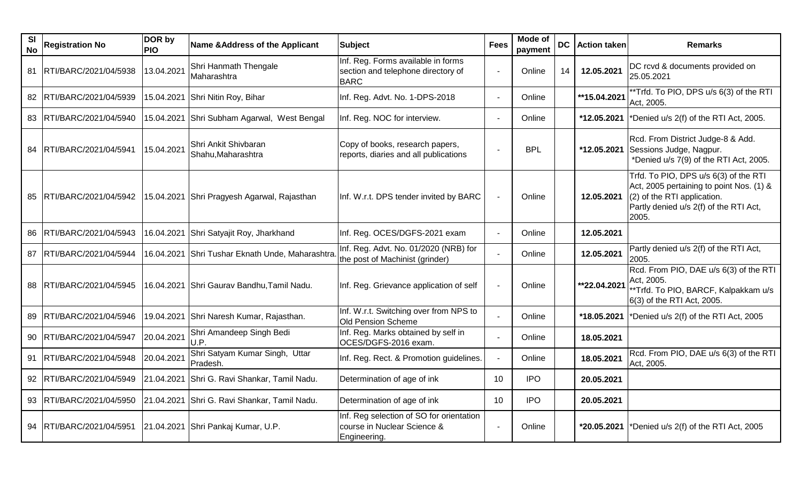| <b>SI</b><br><b>No</b> | <b>Registration No</b>     | DOR by<br><b>PIO</b> | Name & Address of the Applicant                  | <b>Subject</b>                                                                          | <b>Fees</b> | Mode of<br>payment | <b>DC</b> | <b>Action taken</b> | <b>Remarks</b>                                                                                                                                                      |
|------------------------|----------------------------|----------------------|--------------------------------------------------|-----------------------------------------------------------------------------------------|-------------|--------------------|-----------|---------------------|---------------------------------------------------------------------------------------------------------------------------------------------------------------------|
|                        | 81   RTI/BARC/2021/04/5938 | 13.04.2021           | Shri Hanmath Thengale<br>Maharashtra             | Inf. Reg. Forms available in forms<br>section and telephone directory of<br><b>BARC</b> |             | Online             | 14        | 12.05.2021          | DC rcvd & documents provided on<br>25.05.2021                                                                                                                       |
|                        | 82 RTI/BARC/2021/04/5939   |                      | 15.04.2021 Shri Nitin Roy, Bihar                 | Inf. Reg. Advt. No. 1-DPS-2018                                                          |             | Online             |           | **15.04.2021        | **Trfd. To PIO, DPS u/s 6(3) of the RTI<br>Act, 2005.                                                                                                               |
|                        | 83 RTI/BARC/2021/04/5940   |                      | 15.04.2021 Shri Subham Agarwal, West Bengal      | Inf. Reg. NOC for interview.                                                            |             | Online             |           | *12.05.2021         | *Denied u/s 2(f) of the RTI Act, 2005.                                                                                                                              |
|                        | 84 RTI/BARC/2021/04/5941   | 15.04.2021           | Shri Ankit Shivbaran<br>Shahu, Maharashtra       | Copy of books, research papers,<br>reports, diaries and all publications                |             | <b>BPL</b>         |           | *12.05.2021         | Rcd. From District Judge-8 & Add.<br>Sessions Judge, Nagpur.<br>*Denied u/s 7(9) of the RTI Act, 2005.                                                              |
|                        | 85   RTI/BARC/2021/04/5942 |                      | 15.04.2021 Shri Pragyesh Agarwal, Rajasthan      | Inf. W.r.t. DPS tender invited by BARC                                                  |             | Online             |           | 12.05.2021          | Trfd. To PIO, DPS u/s 6(3) of the RTI<br>Act, 2005 pertaining to point Nos. (1) &<br>(2) of the RTI application.<br>Partly denied u/s 2(f) of the RTI Act,<br>2005. |
| 86                     | RTI/BARC/2021/04/5943      | 16.04.2021           | Shri Satyajit Roy, Jharkhand                     | Inf. Reg. OCES/DGFS-2021 exam                                                           |             | Online             |           | 12.05.2021          |                                                                                                                                                                     |
|                        | 87   RTI/BARC/2021/04/5944 |                      | 16.04.2021 Shri Tushar Eknath Unde, Maharashtra. | Inf. Reg. Advt. No. 01/2020 (NRB) for<br>the post of Machinist (grinder)                |             | Online             |           | 12.05.2021          | Partly denied u/s 2(f) of the RTI Act,<br>2005.                                                                                                                     |
|                        | 88   RTI/BARC/2021/04/5945 |                      | 16.04.2021 Shri Gaurav Bandhu, Tamil Nadu.       | Inf. Reg. Grievance application of self                                                 |             | Online             |           | **22.04.2021        | Rcd. From PIO, DAE u/s 6(3) of the RTI<br>Act, 2005.<br>*Trfd. To PIO, BARCF, Kalpakkam u/s<br>6(3) of the RTI Act, 2005.                                           |
| 89                     | RTI/BARC/2021/04/5946      |                      | 19.04.2021 Shri Naresh Kumar, Rajasthan.         | Inf. W.r.t. Switching over from NPS to<br><b>Old Pension Scheme</b>                     |             | Online             |           | *18.05.2021         | *Denied u/s 2(f) of the RTI Act, 2005                                                                                                                               |
|                        | 90 RTI/BARC/2021/04/5947   | 20.04.2021           | Shri Amandeep Singh Bedi<br>U.P.                 | Inf. Reg. Marks obtained by self in<br>OCES/DGFS-2016 exam.                             |             | Online             |           | 18.05.2021          |                                                                                                                                                                     |
| 91                     | RTI/BARC/2021/04/5948      | 20.04.2021           | Shri Satyam Kumar Singh, Uttar<br>Pradesh.       | Inf. Reg. Rect. & Promotion guidelines.                                                 |             | Online             |           | 18.05.2021          | Rcd. From PIO, DAE u/s 6(3) of the RTI<br>Act, 2005.                                                                                                                |
|                        | 92   RTI/BARC/2021/04/5949 |                      | 21.04.2021 Shri G. Ravi Shankar, Tamil Nadu.     | Determination of age of ink                                                             | 10          | <b>IPO</b>         |           | 20.05.2021          |                                                                                                                                                                     |
|                        | 93  RTI/BARC/2021/04/5950  |                      | 21.04.2021 Shri G. Ravi Shankar, Tamil Nadu.     | Determination of age of ink                                                             | 10          | <b>IPO</b>         |           | 20.05.2021          |                                                                                                                                                                     |
|                        | 94 RTI/BARC/2021/04/5951   |                      | 21.04.2021 Shri Pankaj Kumar, U.P.               | Inf. Reg selection of SO for orientation<br>course in Nuclear Science &<br>Engineering. |             | Online             |           | *20.05.2021         | *Denied u/s 2(f) of the RTI Act, 2005                                                                                                                               |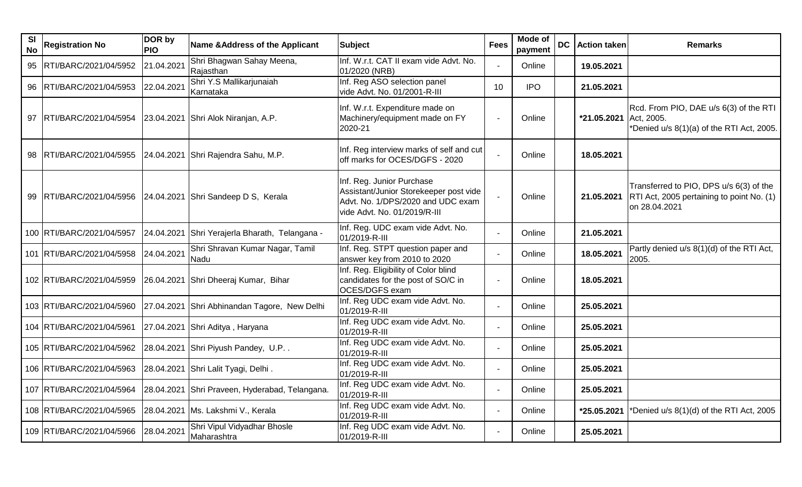| <b>SI</b><br><b>No</b> | <b>Registration No</b>      | DOR by<br><b>PIO</b> | <b>Name &amp; Address of the Applicant</b>     | <b>Subject</b>                                                                                                                           | <b>Fees</b> | Mode of<br>payment | <b>DC</b> | <b>Action taken</b>    | <b>Remarks</b>                                                                                        |
|------------------------|-----------------------------|----------------------|------------------------------------------------|------------------------------------------------------------------------------------------------------------------------------------------|-------------|--------------------|-----------|------------------------|-------------------------------------------------------------------------------------------------------|
|                        | 95   RTI/BARC/2021/04/5952  | 21.04.2021           | Shri Bhagwan Sahay Meena,<br>Rajasthan         | Inf. W.r.t. CAT II exam vide Advt. No.<br>01/2020 (NRB)                                                                                  |             | Online             |           | 19.05.2021             |                                                                                                       |
| 96                     | RTI/BARC/2021/04/5953       | 22.04.2021           | Shri Y.S Mallikarjunaiah<br>Karnataka          | Inf. Reg ASO selection panel<br>vide Advt. No. 01/2001-R-III                                                                             | 10          | <b>IPO</b>         |           | 21.05.2021             |                                                                                                       |
|                        | 97   RTI/BARC/2021/04/5954  |                      | 23.04.2021 Shri Alok Niranjan, A.P.            | Inf. W.r.t. Expenditure made on<br>Machinery/equipment made on FY<br>2020-21                                                             |             | Online             |           | *21.05.2021 Act, 2005. | Rcd. From PIO, DAE u/s 6(3) of the RTI<br>*Denied u/s 8(1)(a) of the RTI Act, 2005.                   |
|                        | 98  RTI/BARC/2021/04/5955   |                      | 24.04.2021 Shri Rajendra Sahu, M.P.            | Inf. Reg interview marks of self and cut<br>off marks for OCES/DGFS - 2020                                                               |             | Online             |           | 18.05.2021             |                                                                                                       |
|                        | 99   RTI/BARC/2021/04/5956  |                      | 24.04.2021 Shri Sandeep D S, Kerala            | Inf. Reg. Junior Purchase<br>Assistant/Junior Storekeeper post vide<br>Advt. No. 1/DPS/2020 and UDC exam<br>vide Advt. No. 01/2019/R-III |             | Online             |           | 21.05.2021             | Transferred to PIO, DPS u/s 6(3) of the<br>RTI Act, 2005 pertaining to point No. (1)<br>on 28.04.2021 |
|                        | 100 RTI/BARC/2021/04/5957   |                      | 24.04.2021 Shri Yerajerla Bharath, Telangana - | Inf. Reg. UDC exam vide Advt. No.<br>01/2019-R-III                                                                                       |             | Online             |           | 21.05.2021             |                                                                                                       |
|                        | 101   RTI/BARC/2021/04/5958 | 24.04.2021           | Shri Shravan Kumar Nagar, Tamil<br>Nadu        | Inf. Reg. STPT question paper and<br>answer key from 2010 to 2020                                                                        |             | Online             |           | 18.05.2021             | Partly denied u/s 8(1)(d) of the RTI Act,<br>2005.                                                    |
|                        | 102 RTI/BARC/2021/04/5959   |                      | 26.04.2021 Shri Dheeraj Kumar, Bihar           | Inf. Reg. Eligibility of Color blind<br>candidates for the post of SO/C in<br>OCES/DGFS exam                                             |             | Online             |           | 18.05.2021             |                                                                                                       |
|                        | 103 RTI/BARC/2021/04/5960   |                      | 27.04.2021 Shri Abhinandan Tagore, New Delhi   | Inf. Reg UDC exam vide Advt. No.<br>01/2019-R-III                                                                                        |             | Online             |           | 25.05.2021             |                                                                                                       |
|                        | 104 RTI/BARC/2021/04/5961   |                      | 27.04.2021 Shri Aditya, Haryana                | Inf. Reg UDC exam vide Advt. No.<br>01/2019-R-III                                                                                        |             | Online             |           | 25.05.2021             |                                                                                                       |
|                        | 105 RTI/BARC/2021/04/5962   |                      | 28.04.2021 Shri Piyush Pandey, U.P             | Inf. Reg UDC exam vide Advt. No.<br>01/2019-R-III                                                                                        |             | Online             |           | 25.05.2021             |                                                                                                       |
|                        | 106 RTI/BARC/2021/04/5963   |                      | 28.04.2021 Shri Lalit Tyagi, Delhi.            | Inf. Reg UDC exam vide Advt. No.<br>01/2019-R-III                                                                                        |             | Online             |           | 25.05.2021             |                                                                                                       |
|                        | 107 RTI/BARC/2021/04/5964   |                      | 28.04.2021 Shri Praveen, Hyderabad, Telangana. | Inf. Reg UDC exam vide Advt. No.<br>01/2019-R-III                                                                                        |             | Online             |           | 25.05.2021             |                                                                                                       |
|                        | 108 RTI/BARC/2021/04/5965   |                      | 28.04.2021 Ms. Lakshmi V., Kerala              | Inf. Reg UDC exam vide Advt. No.<br>01/2019-R-III                                                                                        |             | Online             |           | *25.05.2021            | *Denied u/s 8(1)(d) of the RTI Act, 2005                                                              |
|                        | 109 RTI/BARC/2021/04/5966   | 28.04.2021           | Shri Vipul Vidyadhar Bhosle<br>Maharashtra     | Inf. Reg UDC exam vide Advt. No.<br>01/2019-R-III                                                                                        |             | Online             |           | 25.05.2021             |                                                                                                       |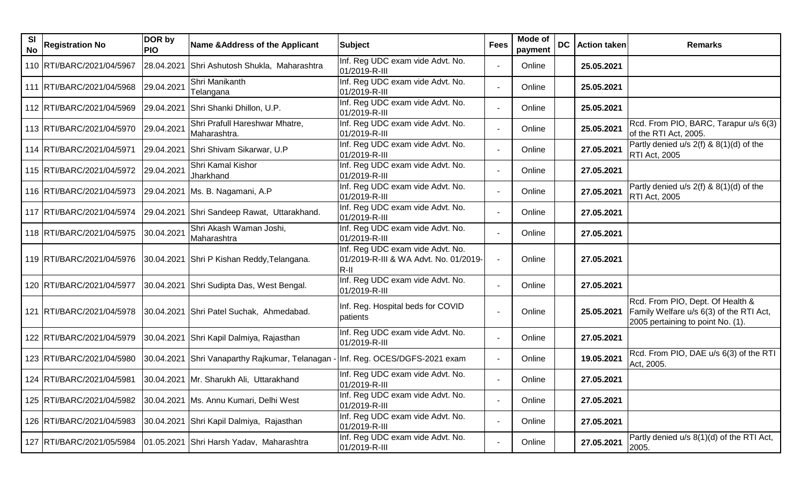| SI<br><b>No</b> | <b>Registration No</b>      | DOR by<br><b>PIO</b> | Name & Address of the Applicant                  | <b>Subject</b>                                                                      | <b>Fees</b> | Mode of<br>payment | DC | <b>Action taken</b> | <b>Remarks</b>                                                                                                   |
|-----------------|-----------------------------|----------------------|--------------------------------------------------|-------------------------------------------------------------------------------------|-------------|--------------------|----|---------------------|------------------------------------------------------------------------------------------------------------------|
|                 | 110   RTI/BARC/2021/04/5967 | 28.04.2021           | Shri Ashutosh Shukla, Maharashtra                | Inf. Reg UDC exam vide Advt. No.<br>01/2019-R-III                                   |             | Online             |    | 25.05.2021          |                                                                                                                  |
|                 | 111 RTI/BARC/2021/04/5968   | 29.04.2021           | Shri Manikanth<br>Telangana                      | Inf. Reg UDC exam vide Advt. No.<br>01/2019-R-III                                   |             | Online             |    | 25.05.2021          |                                                                                                                  |
|                 | 112 RTI/BARC/2021/04/5969   |                      | 29.04.2021 Shri Shanki Dhillon, U.P.             | Inf. Reg UDC exam vide Advt. No.<br>01/2019-R-III                                   |             | Online             |    | 25.05.2021          |                                                                                                                  |
|                 | 113   RTI/BARC/2021/04/5970 | 29.04.2021           | Shri Prafull Hareshwar Mhatre,<br>Maharashtra.   | Inf. Reg UDC exam vide Advt. No.<br>01/2019-R-III                                   |             | Online             |    | 25.05.2021          | Rcd. From PIO, BARC, Tarapur u/s 6(3)<br>of the RTI Act, 2005.                                                   |
|                 | 114 RTI/BARC/2021/04/5971   | 29.04.2021           | Shri Shivam Sikarwar, U.P                        | Inf. Reg UDC exam vide Advt. No.<br>01/2019-R-III                                   |             | Online             |    | 27.05.2021          | Partly denied u/s $2(f)$ & $8(1)(d)$ of the<br>RTI Act, 2005                                                     |
|                 | 115   RTI/BARC/2021/04/5972 | 29.04.2021           | Shri Kamal Kishor<br>Jharkhand                   | Inf. Reg UDC exam vide Advt. No.<br>01/2019-R-III                                   |             | Online             |    | 27.05.2021          |                                                                                                                  |
|                 | 116 RTI/BARC/2021/04/5973   |                      | 29.04.2021   Ms. B. Nagamani, A.P                | Inf. Reg UDC exam vide Advt. No.<br>01/2019-R-III                                   |             | Online             |    | 27.05.2021          | Partly denied $u/s$ 2(f) & 8(1)(d) of the<br><b>RTI Act, 2005</b>                                                |
|                 | 117   RTI/BARC/2021/04/5974 |                      | 29.04.2021 Shri Sandeep Rawat, Uttarakhand.      | Inf. Reg UDC exam vide Advt. No.<br>01/2019-R-III                                   |             | Online             |    | 27.05.2021          |                                                                                                                  |
|                 | 118   RTI/BARC/2021/04/5975 | 30.04.2021           | Shri Akash Waman Joshi,<br>Maharashtra           | Inf. Reg UDC exam vide Advt. No.<br>01/2019-R-III                                   |             | Online             |    | 27.05.2021          |                                                                                                                  |
|                 | 119 RTI/BARC/2021/04/5976   |                      | 30.04.2021 Shri P Kishan Reddy, Telangana.       | Inf. Reg UDC exam vide Advt. No.<br>01/2019-R-III & WA Advt. No. 01/2019-<br>$R-II$ |             | Online             |    | 27.05.2021          |                                                                                                                  |
|                 | 120 RTI/BARC/2021/04/5977   |                      | 30.04.2021 Shri Sudipta Das, West Bengal.        | Inf. Reg UDC exam vide Advt. No.<br>01/2019-R-III                                   |             | Online             |    | 27.05.2021          |                                                                                                                  |
|                 | 121 RTI/BARC/2021/04/5978   |                      | 30.04.2021 Shri Patel Suchak, Ahmedabad.         | Inf. Reg. Hospital beds for COVID<br>patients                                       |             | Online             |    | 25.05.2021          | Rcd. From PIO, Dept. Of Health &<br>Family Welfare u/s 6(3) of the RTI Act,<br>2005 pertaining to point No. (1). |
|                 | 122 RTI/BARC/2021/04/5979   |                      | 30.04.2021 Shri Kapil Dalmiya, Rajasthan         | Inf. Reg UDC exam vide Advt. No.<br>01/2019-R-III                                   |             | Online             |    | 27.05.2021          |                                                                                                                  |
|                 | 123 RTI/BARC/2021/04/5980   |                      | 30.04.2021 Shri Vanaparthy Rajkumar, Telanagan - | Inf. Reg. OCES/DGFS-2021 exam                                                       |             | Online             |    | 19.05.2021          | Rcd. From PIO, DAE u/s 6(3) of the RTI<br>Act, 2005.                                                             |
|                 | 124 RTI/BARC/2021/04/5981   |                      | 30.04.2021 Mr. Sharukh Ali, Uttarakhand          | Inf. Reg UDC exam vide Advt. No.<br>01/2019-R-III                                   |             | Online             |    | 27.05.2021          |                                                                                                                  |
|                 | 125   RTI/BARC/2021/04/5982 |                      | 30.04.2021 Ms. Annu Kumari, Delhi West           | Inf. Reg UDC exam vide Advt. No.<br>01/2019-R-III                                   |             | Online             |    | 27.05.2021          |                                                                                                                  |
|                 | 126 RTI/BARC/2021/04/5983   |                      | 30.04.2021 Shri Kapil Dalmiya, Rajasthan         | Inf. Reg UDC exam vide Advt. No.<br>01/2019-R-III                                   |             | Online             |    | 27.05.2021          |                                                                                                                  |
|                 | 127 RTI/BARC/2021/05/5984   |                      | 01.05.2021 Shri Harsh Yadav, Maharashtra         | Inf. Reg UDC exam vide Advt. No.<br>01/2019-R-III                                   |             | Online             |    | 27.05.2021          | Partly denied u/s 8(1)(d) of the RTI Act,<br>2005.                                                               |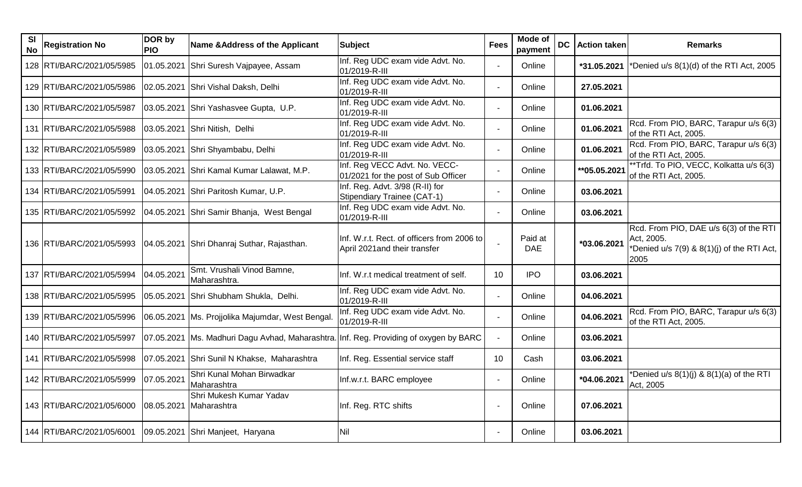| <b>SI</b><br><b>No</b> | <b>Registration No</b>      | DOR by<br><b>PIO</b> | <b>Name &amp; Address of the Applicant</b>                                            | <b>Subject</b>                                                             | <b>Fees</b> | Mode of<br>payment    | <b>DC</b> | <b>Action taken</b> | <b>Remarks</b>                                                                                                 |
|------------------------|-----------------------------|----------------------|---------------------------------------------------------------------------------------|----------------------------------------------------------------------------|-------------|-----------------------|-----------|---------------------|----------------------------------------------------------------------------------------------------------------|
|                        | 128 RTI/BARC/2021/05/5985   | 01.05.2021           | Shri Suresh Vajpayee, Assam                                                           | Inf. Reg UDC exam vide Advt. No.<br>01/2019-R-III                          |             | Online                |           | *31.05.2021         | *Denied u/s 8(1)(d) of the RTI Act, 2005                                                                       |
|                        | 129 RTI/BARC/2021/05/5986   |                      | 02.05.2021 Shri Vishal Daksh, Delhi                                                   | Inf. Reg UDC exam vide Advt. No.<br>01/2019-R-III                          |             | Online                |           | 27.05.2021          |                                                                                                                |
|                        | 130 RTI/BARC/2021/05/5987   |                      | 03.05.2021 Shri Yashasvee Gupta, U.P.                                                 | Inf. Reg UDC exam vide Advt. No.<br>01/2019-R-III                          |             | Online                |           | 01.06.2021          |                                                                                                                |
|                        | 131   RTI/BARC/2021/05/5988 |                      | 03.05.2021 Shri Nitish, Delhi                                                         | Inf. Reg UDC exam vide Advt. No.<br>01/2019-R-III                          |             | Online                |           | 01.06.2021          | Rcd. From PIO, BARC, Tarapur u/s 6(3)<br>of the RTI Act, 2005.                                                 |
|                        | 132 RTI/BARC/2021/05/5989   |                      | 03.05.2021 Shri Shyambabu, Delhi                                                      | Inf. Reg UDC exam vide Advt. No.<br>01/2019-R-III                          |             | Online                |           | 01.06.2021          | Rcd. From PIO, BARC, Tarapur u/s 6(3)<br>of the RTI Act, 2005.                                                 |
|                        | 133 RTI/BARC/2021/05/5990   |                      | 03.05.2021 Shri Kamal Kumar Lalawat, M.P.                                             | Inf. Reg VECC Advt. No. VECC-<br>01/2021 for the post of Sub Officer       |             | Online                |           | **05.05.2021        | **Trfd. To PIO, VECC, Kolkatta u/s 6(3)<br>of the RTI Act, 2005.                                               |
|                        | 134   RTI/BARC/2021/05/5991 |                      | 04.05.2021 Shri Paritosh Kumar, U.P.                                                  | Inf. Reg. Advt. 3/98 (R-II) for<br>Stipendiary Trainee (CAT-1)             |             | Online                |           | 03.06.2021          |                                                                                                                |
|                        | 135 RTI/BARC/2021/05/5992   |                      | 04.05.2021 Shri Samir Bhanja, West Bengal                                             | Inf. Reg UDC exam vide Advt. No.<br>01/2019-R-III                          |             | Online                |           | 03.06.2021          |                                                                                                                |
|                        | 136 RTI/BARC/2021/05/5993   |                      | 04.05.2021 Shri Dhanraj Suthar, Rajasthan.                                            | Inf. W.r.t. Rect. of officers from 2006 to<br>April 2021and their transfer |             | Paid at<br><b>DAE</b> |           | *03.06.2021         | Rcd. From PIO, DAE u/s 6(3) of the RTI<br>Act, 2005.<br>*Denied u/s $7(9)$ & $8(1)(i)$ of the RTI Act,<br>2005 |
|                        | 137 RTI/BARC/2021/05/5994   | 04.05.2021           | Smt. Vrushali Vinod Bamne,<br>Maharashtra.                                            | Inf. W.r.t medical treatment of self.                                      | 10          | <b>IPO</b>            |           | 03.06.2021          |                                                                                                                |
|                        | 138 RTI/BARC/2021/05/5995   | 05.05.2021           | Shri Shubham Shukla, Delhi.                                                           | Inf. Reg UDC exam vide Advt. No.<br>01/2019-R-III                          |             | Online                |           | 04.06.2021          |                                                                                                                |
|                        | 139 RTI/BARC/2021/05/5996   |                      | 06.05.2021   Ms. Projjolika Majumdar, West Bengal.                                    | Inf. Reg UDC exam vide Advt. No.<br>01/2019-R-III                          |             | Online                |           | 04.06.2021          | Rcd. From PIO, BARC, Tarapur u/s 6(3)<br>of the RTI Act, 2005.                                                 |
|                        | 140 RTI/BARC/2021/05/5997   |                      | 07.05.2021 Ms. Madhuri Dagu Avhad, Maharashtra. Inf. Reg. Providing of oxygen by BARC |                                                                            |             | Online                |           | 03.06.2021          |                                                                                                                |
|                        | 141 RTI/BARC/2021/05/5998   |                      | 07.05.2021 Shri Sunil N Khakse, Maharashtra                                           | Inf. Reg. Essential service staff                                          | 10          | Cash                  |           | 03.06.2021          |                                                                                                                |
|                        | 142 RTI/BARC/2021/05/5999   | 07.05.2021           | Shri Kunal Mohan Birwadkar<br>Maharashtra                                             | Inf.w.r.t. BARC employee                                                   |             | Online                |           | *04.06.2021         | *Denied u/s $8(1)(j)$ & $8(1)(a)$ of the RTI<br>Act, 2005                                                      |
|                        | 143 RTI/BARC/2021/05/6000   | 08.05.2021           | Shri Mukesh Kumar Yadav<br>Maharashtra                                                | Inf. Reg. RTC shifts                                                       |             | Online                |           | 07.06.2021          |                                                                                                                |
|                        | 144 RTI/BARC/2021/05/6001   |                      | 09.05.2021 Shri Manjeet, Haryana                                                      | Nil                                                                        |             | Online                |           | 03.06.2021          |                                                                                                                |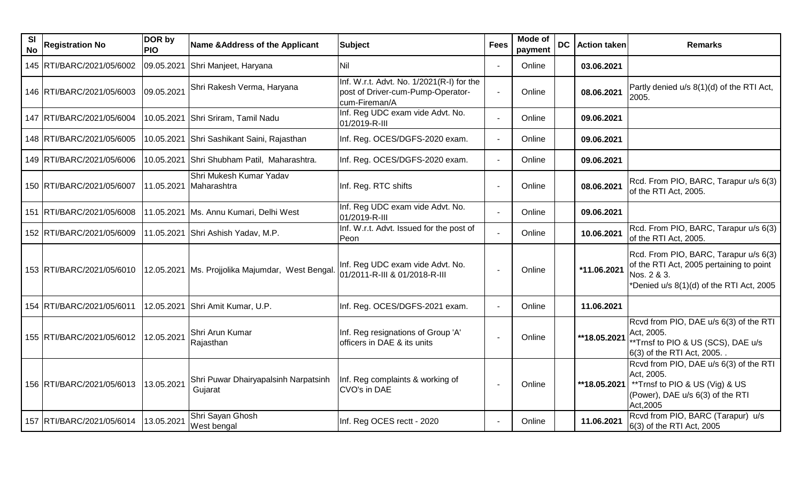| <b>SI</b><br><b>No</b> | <b>Registration No</b>      | DOR by<br><b>PIO</b> | <b>Name &amp; Address of the Applicant</b>         | <b>Subject</b>                                                                                  | <b>Fees</b> | Mode of<br>payment | <b>DC</b>   Action taken | <b>Remarks</b>                                                                                                                               |
|------------------------|-----------------------------|----------------------|----------------------------------------------------|-------------------------------------------------------------------------------------------------|-------------|--------------------|--------------------------|----------------------------------------------------------------------------------------------------------------------------------------------|
|                        | 145   RTI/BARC/2021/05/6002 | 09.05.2021           | Shri Manjeet, Haryana                              | <b>Nil</b>                                                                                      |             | Online             | 03.06.2021               |                                                                                                                                              |
|                        | 146   RTI/BARC/2021/05/6003 | 09.05.2021           | Shri Rakesh Verma, Haryana                         | Inf. W.r.t. Advt. No. 1/2021(R-I) for the<br>post of Driver-cum-Pump-Operator-<br>cum-Fireman/A |             | Online             | 08.06.2021               | Partly denied u/s 8(1)(d) of the RTI Act,<br>2005.                                                                                           |
|                        | 147 RTI/BARC/2021/05/6004   |                      | 10.05.2021 Shri Sriram, Tamil Nadu                 | Inf. Reg UDC exam vide Advt. No.<br>01/2019-R-III                                               |             | Online             | 09.06.2021               |                                                                                                                                              |
|                        | 148 RTI/BARC/2021/05/6005   |                      | 10.05.2021 Shri Sashikant Saini, Rajasthan         | Inf. Reg. OCES/DGFS-2020 exam.                                                                  |             | Online             | 09.06.2021               |                                                                                                                                              |
|                        | 149 RTI/BARC/2021/05/6006   |                      | 10.05.2021 Shri Shubham Patil, Maharashtra.        | Inf. Reg. OCES/DGFS-2020 exam.                                                                  |             | Online             | 09.06.2021               |                                                                                                                                              |
|                        | 150 RTI/BARC/2021/05/6007   | 11.05.2021           | Shri Mukesh Kumar Yadav<br>Maharashtra             | Inf. Reg. RTC shifts                                                                            |             | Online             | 08.06.2021               | Rcd. From PIO, BARC, Tarapur u/s 6(3)<br>of the RTI Act, 2005.                                                                               |
|                        | 151   RTI/BARC/2021/05/6008 |                      | 11.05.2021   Ms. Annu Kumari, Delhi West           | Inf. Reg UDC exam vide Advt. No.<br>01/2019-R-III                                               |             | Online             | 09.06.2021               |                                                                                                                                              |
|                        | 152 RTI/BARC/2021/05/6009   |                      | 11.05.2021 Shri Ashish Yadav, M.P.                 | Inf. W.r.t. Advt. Issued for the post of<br>Peon                                                |             | Online             | 10.06.2021               | Rcd. From PIO, BARC, Tarapur u/s 6(3)<br>of the RTI Act, 2005.                                                                               |
|                        | 153   RTI/BARC/2021/05/6010 |                      | 12.05.2021   Ms. Projjolika Majumdar, West Bengal. | Inf. Reg UDC exam vide Advt. No.<br>01/2011-R-III & 01/2018-R-III                               |             | Online             | *11.06.2021              | Rcd. From PIO, BARC, Tarapur u/s 6(3)<br>of the RTI Act, 2005 pertaining to point<br>Nos. 2 & 3.<br>*Denied u/s 8(1)(d) of the RTI Act, 2005 |
|                        | 154 RTI/BARC/2021/05/6011   | 12.05.2021           | Shri Amit Kumar, U.P.                              | Inf. Reg. OCES/DGFS-2021 exam.                                                                  |             | Online             | 11.06.2021               |                                                                                                                                              |
|                        | 155   RTI/BARC/2021/05/6012 | 12.05.2021           | Shri Arun Kumar<br>Rajasthan                       | Inf. Reg resignations of Group 'A'<br>officers in DAE & its units                               |             | Online             | **18.05.2021             | Rcvd from PIO, DAE u/s 6(3) of the RTI<br>Act, 2005.<br>**Trnsf to PIO & US (SCS), DAE u/s<br>6(3) of the RTI Act, 2005. .                   |
|                        | 156 RTI/BARC/2021/05/6013   | 13.05.2021           | Shri Puwar Dhairyapalsinh Narpatsinh<br>Gujarat    | Inf. Reg complaints & working of<br>CVO's in DAE                                                |             | Online             | **18.05.2021             | Rcvd from PIO, DAE u/s 6(3) of the RTI<br>Act, 2005.<br>**Trnsf to PIO & US (Vig) & US<br>(Power), DAE u/s 6(3) of the RTI<br>Act, 2005      |
|                        | 157 RTI/BARC/2021/05/6014   | 13.05.2021           | Shri Sayan Ghosh<br>West bengal                    | Inf. Reg OCES rectt - 2020                                                                      |             | Online             | 11.06.2021               | Rcvd from PIO, BARC (Tarapur) u/s<br>6(3) of the RTI Act, 2005                                                                               |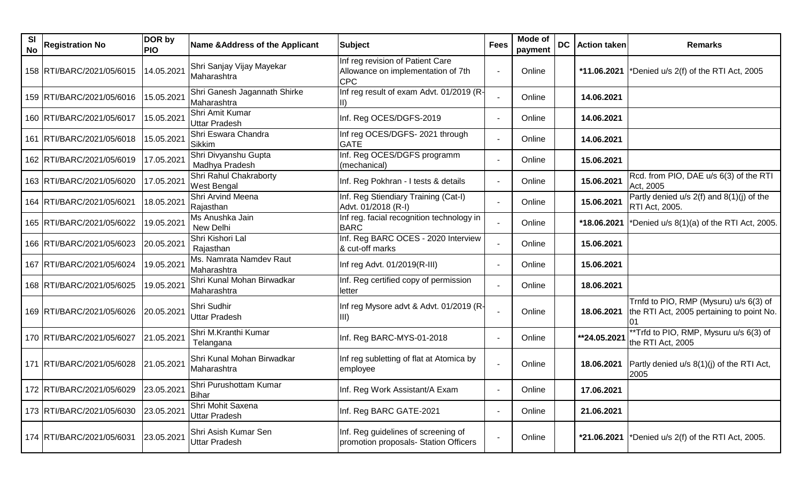| SI<br>No | <b>Registration No</b>               | DOR by<br><b>PIO</b> | Name & Address of the Applicant              | <b>Subject</b>                                                                       | <b>Fees</b> | Mode of<br>payment | <b>DC</b> | <b>Action taken</b> | <b>Remarks</b>                                                                      |
|----------|--------------------------------------|----------------------|----------------------------------------------|--------------------------------------------------------------------------------------|-------------|--------------------|-----------|---------------------|-------------------------------------------------------------------------------------|
|          | 158   RTI/BARC/2021/05/6015          | 14.05.2021           | Shri Sanjay Vijay Mayekar<br>Maharashtra     | Inf reg revision of Patient Care<br>Allowance on implementation of 7th<br><b>CPC</b> |             | Online             |           |                     | *11.06.2021  *Denied u/s $2(f)$ of the RTI Act, 2005                                |
|          | 159   RTI/BARC/2021/05/6016          | 15.05.2021           | Shri Ganesh Jagannath Shirke<br>Maharashtra  | Inf reg result of exam Advt. 01/2019 (R-                                             |             | Online             |           | 14.06.2021          |                                                                                     |
|          | 160 RTI/BARC/2021/05/6017            | 15.05.2021           | Shri Amit Kumar<br><b>Uttar Pradesh</b>      | Inf. Reg OCES/DGFS-2019                                                              |             | Online             |           | 14.06.2021          |                                                                                     |
|          | 161 RTI/BARC/2021/05/6018            | 15.05.2021           | Shri Eswara Chandra<br><b>Sikkim</b>         | Inf reg OCES/DGFS- 2021 through<br><b>GATE</b>                                       |             | Online             |           | 14.06.2021          |                                                                                     |
|          | 162 RTI/BARC/2021/05/6019            | 17.05.2021           | Shri Divyanshu Gupta<br>Madhya Pradesh       | Inf. Reg OCES/DGFS programm<br>(mechanical)                                          |             | Online             |           | 15.06.2021          |                                                                                     |
|          | 163 RTI/BARC/2021/05/6020            | 17.05.2021           | Shri Rahul Chakraborty<br>West Bengal        | Inf. Reg Pokhran - I tests & details                                                 |             | Online             |           | 15.06.2021          | Rcd. from PIO, DAE u/s 6(3) of the RTI<br>Act, 2005                                 |
|          | 164 RTI/BARC/2021/05/6021            | 18.05.2021           | Shri Arvind Meena<br>Rajasthan               | Inf. Reg Stiendiary Training (Cat-I)<br>Advt. 01/2018 (R-I)                          |             | Online             |           | 15.06.2021          | Partly denied $u/s$ 2(f) and $8(1)(j)$ of the<br><b>RTI Act, 2005.</b>              |
|          | 165 RTI/BARC/2021/05/6022            | 19.05.2021           | Ms Anushka Jain<br>New Delhi                 | Inf reg. facial recognition technology in<br><b>BARC</b>                             |             | Online             |           |                     | *18.06.2021  *Denied u/s $8(1)(a)$ of the RTI Act, 2005.                            |
|          | 166 RTI/BARC/2021/05/6023            | 20.05.2021           | Shri Kishori Lal<br>Rajasthan                | Inf. Reg BARC OCES - 2020 Interview<br>& cut-off marks                               |             | Online             |           | 15.06.2021          |                                                                                     |
|          | 167   RTI/BARC/2021/05/6024          | 19.05.2021           | Ms. Namrata Namdev Raut<br>Maharashtra       | Inf reg Advt. 01/2019(R-III)                                                         |             | Online             |           | 15.06.2021          |                                                                                     |
|          | 168 RTI/BARC/2021/05/6025            | 19.05.2021           | Shri Kunal Mohan Birwadkar<br>Maharashtra    | Inf. Reg certified copy of permission<br>letter                                      |             | Online             |           | 18.06.2021          |                                                                                     |
|          | 169 RTI/BARC/2021/05/6026            | 20.05.2021           | Shri Sudhir<br><b>Uttar Pradesh</b>          | Inf reg Mysore advt & Advt. 01/2019 (R-<br>III)                                      |             | Online             |           | 18.06.2021          | Trnfd to PIO, RMP (Mysuru) u/s 6(3) of<br>the RTI Act, 2005 pertaining to point No. |
|          | 170 RTI/BARC/2021/05/6027            | 21.05.2021           | Shri M.Kranthi Kumar<br>Telangana            | Inf. Reg BARC-MYS-01-2018                                                            |             | Online             |           | **24.05.2021        | **Trfd to PIO, RMP, Mysuru u/s 6(3) of<br>the RTI Act, 2005                         |
|          | 171   RTI/BARC/2021/05/6028          | 21.05.2021           | Shri Kunal Mohan Birwadkar<br>Maharashtra    | Inf reg subletting of flat at Atomica by<br>employee                                 |             | Online             |           | 18.06.2021          | Partly denied u/s 8(1)(j) of the RTI Act,<br>2005                                   |
|          | 172 RTI/BARC/2021/05/6029 23.05.2021 |                      | Shri Purushottam Kumar<br><b>Bihar</b>       | Inf. Reg Work Assistant/A Exam                                                       |             | Online             |           | 17.06.2021          |                                                                                     |
|          | 173 RTI/BARC/2021/05/6030            | 23.05.2021           | Shri Mohit Saxena<br><b>Uttar Pradesh</b>    | Inf. Reg BARC GATE-2021                                                              |             | Online             |           | 21.06.2021          |                                                                                     |
|          | 174   RTI/BARC/2021/05/6031          | 23.05.2021           | Shri Asish Kumar Sen<br><b>Uttar Pradesh</b> | Inf. Reg guidelines of screening of<br>promotion proposals- Station Officers         |             | Online             |           |                     | *21.06.2021  *Denied u/s 2(f) of the RTI Act, 2005.                                 |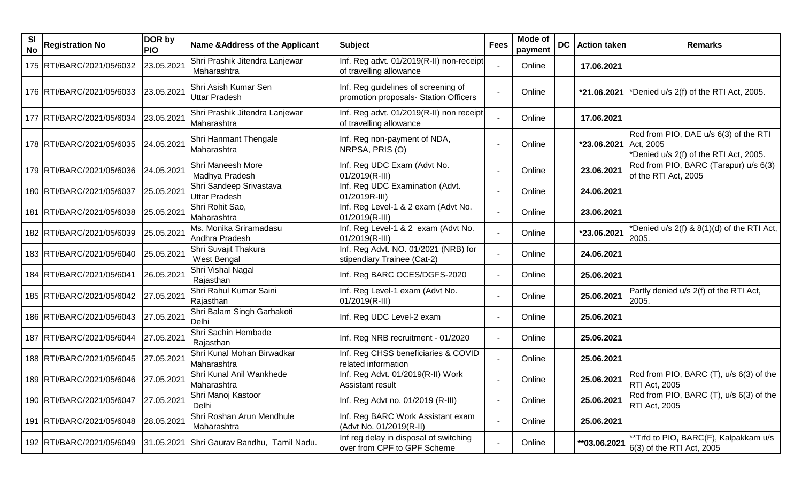| SI<br>No | <b>Registration No</b>      | DOR by<br><b>PIO</b> | Name & Address of the Applicant                 | <b>Subject</b>                                                               | <b>Fees</b> | Mode of<br>payment | <b>DC</b> | <b>Action taken</b> | <b>Remarks</b>                                                                               |
|----------|-----------------------------|----------------------|-------------------------------------------------|------------------------------------------------------------------------------|-------------|--------------------|-----------|---------------------|----------------------------------------------------------------------------------------------|
|          | 175 RTI/BARC/2021/05/6032   | 23.05.2021           | Shri Prashik Jitendra Lanjewar<br>Maharashtra   | Inf. Reg advt. 01/2019(R-II) non-receipt<br>of travelling allowance          |             | Online             |           | 17.06.2021          |                                                                                              |
|          | 176   RTI/BARC/2021/05/6033 | 23.05.2021           | Shri Asish Kumar Sen<br><b>Uttar Pradesh</b>    | Inf. Reg guidelines of screening of<br>promotion proposals- Station Officers |             | Online             |           | *21.06.2021         | *Denied u/s 2(f) of the RTI Act, 2005.                                                       |
|          | 177   RTI/BARC/2021/05/6034 | 23.05.2021           | Shri Prashik Jitendra Lanjewar<br>Maharashtra   | Inf. Reg advt. 01/2019(R-II) non receipt<br>of travelling allowance          |             | Online             |           | 17.06.2021          |                                                                                              |
|          | 178   RTI/BARC/2021/05/6035 | 24.05.2021           | Shri Hanmant Thengale<br>Maharashtra            | Inf. Reg non-payment of NDA,<br>NRPSA, PRIS (O)                              |             | Online             |           | *23.06.2021         | Rcd from PIO, DAE u/s 6(3) of the RTI<br>Act, 2005<br>*Denied u/s 2(f) of the RTI Act, 2005. |
|          | 179   RTI/BARC/2021/05/6036 | 24.05.2021           | Shri Maneesh More<br>Madhya Pradesh             | Inf. Reg UDC Exam (Advt No.<br>01/2019(R-III)                                |             | Online             |           | 23.06.2021          | Rcd from PIO, BARC (Tarapur) u/s 6(3)<br>of the RTI Act, 2005                                |
|          | 180 RTI/BARC/2021/05/6037   | 25.05.2021           | Shri Sandeep Srivastava<br><b>Uttar Pradesh</b> | Inf. Reg UDC Examination (Advt.<br>01/2019R-III)                             |             | Online             |           | 24.06.2021          |                                                                                              |
|          | 181   RTI/BARC/2021/05/6038 | 25.05.2021           | Shri Rohit Sao,<br>Maharashtra                  | Inf. Reg Level-1 & 2 exam (Advt No.<br>01/2019(R-III)                        |             | Online             |           | 23.06.2021          |                                                                                              |
|          | 182 RTI/BARC/2021/05/6039   | 25.05.2021           | Ms. Monika Sriramadasu<br>Andhra Pradesh        | Inf. Reg Level-1 & 2 exam (Advt No.<br>01/2019(R-III)                        |             | Online             |           | *23.06.2021         | *Denied u/s 2(f) & 8(1)(d) of the RTI Act,<br>2005.                                          |
|          | 183 RTI/BARC/2021/05/6040   | 25.05.2021           | Shri Suvajit Thakura<br>West Bengal             | Inf. Reg Advt. NO. 01/2021 (NRB) for<br>stipendiary Trainee (Cat-2)          |             | Online             |           | 24.06.2021          |                                                                                              |
|          | 184 RTI/BARC/2021/05/6041   | 26.05.2021           | Shri Vishal Nagal<br>Rajasthan                  | Inf. Reg BARC OCES/DGFS-2020                                                 |             | Online             |           | 25.06.2021          |                                                                                              |
|          | 185 RTI/BARC/2021/05/6042   | 27.05.2021           | Shri Rahul Kumar Saini<br>Rajasthan             | Inf. Reg Level-1 exam (Advt No.<br>01/2019(R-III)                            |             | Online             |           | 25.06.2021          | Partly denied u/s 2(f) of the RTI Act,<br>2005                                               |
|          | 186 RTI/BARC/2021/05/6043   | 27.05.2021           | Shri Balam Singh Garhakoti<br>Delhi             | Inf. Reg UDC Level-2 exam                                                    |             | Online             |           | 25.06.2021          |                                                                                              |
|          | 187 RTI/BARC/2021/05/6044   | 27.05.2021           | Shri Sachin Hembade<br>Rajasthan                | Inf. Reg NRB recruitment - 01/2020                                           |             | Online             |           | 25.06.2021          |                                                                                              |
|          | 188 RTI/BARC/2021/05/6045   | 27.05.2021           | Shri Kunal Mohan Birwadkar<br>Maharashtra       | Inf. Reg CHSS beneficiaries & COVID<br>related information                   |             | Online             |           | 25.06.2021          |                                                                                              |
|          | 189 RTI/BARC/2021/05/6046   | 27.05.2021           | Shri Kunal Anil Wankhede<br>Maharashtra         | Inf. Reg Advt. 01/2019(R-II) Work<br>Assistant result                        |             | Online             |           | 25.06.2021          | Rcd from PIO, BARC (T), u/s 6(3) of the<br><b>RTI Act, 2005</b>                              |
|          | 190   RTI/BARC/2021/05/6047 | 27.05.2021           | Shri Manoj Kastoor<br>Delhi                     | Inf. Reg Advt no. 01/2019 (R-III)                                            |             | Online             |           | 25.06.2021          | $ Red from PIO, BARC (T), u/s 6(3) of the$<br>RTI Act, 2005                                  |
|          | 191   RTI/BARC/2021/05/6048 | 28.05.2021           | Shri Roshan Arun Mendhule<br>Maharashtra        | Inf. Reg BARC Work Assistant exam<br>(Advt No. 01/2019(R-II)                 |             | Online             |           | 25.06.2021          |                                                                                              |
|          | 192 RTI/BARC/2021/05/6049   |                      | 31.05.2021 Shri Gaurav Bandhu, Tamil Nadu.      | Inf reg delay in disposal of switching<br>over from CPF to GPF Scheme        |             | Online             |           | **03.06.2021        | **Trfd to PIO, BARC(F), Kalpakkam u/s<br>6(3) of the RTI Act, 2005                           |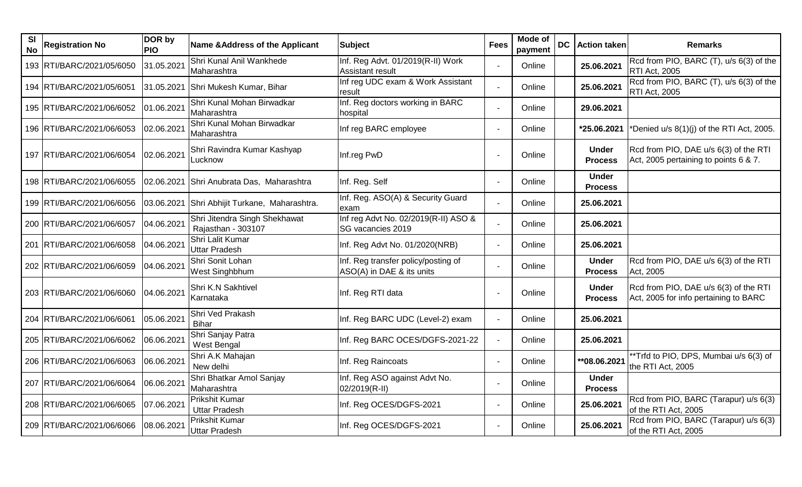| <b>SI</b><br><b>No</b> | <b>Registration No</b>    | DOR by<br><b>PIO</b> | Name & Address of the Applicant                     | <b>Subject</b>                                                   | <b>Fees</b> | <b>Mode of</b><br>payment | <b>DC</b> | <b>Action taken</b>            | <b>Remarks</b>                                                                 |
|------------------------|---------------------------|----------------------|-----------------------------------------------------|------------------------------------------------------------------|-------------|---------------------------|-----------|--------------------------------|--------------------------------------------------------------------------------|
|                        | 193 RTI/BARC/2021/05/6050 | 31.05.2021           | Shri Kunal Anil Wankhede<br>Maharashtra             | Inf. Reg Advt. 01/2019(R-II) Work<br>Assistant result            |             | Online                    |           | 25.06.2021                     | Rcd from PIO, BARC (T), u/s 6(3) of the<br><b>RTI Act, 2005</b>                |
|                        | 194 RTI/BARC/2021/05/6051 |                      | 31.05.2021 Shri Mukesh Kumar, Bihar                 | Inf reg UDC exam & Work Assistant<br>result                      |             | Online                    |           | 25.06.2021                     | Rcd from PIO, BARC (T), u/s 6(3) of the<br><b>RTI Act, 2005</b>                |
|                        | 195 RTI/BARC/2021/06/6052 | 01.06.2021           | Shri Kunal Mohan Birwadkar<br>Maharashtra           | Inf. Reg doctors working in BARC<br>hospital                     |             | Online                    |           | 29.06.2021                     |                                                                                |
|                        | 196 RTI/BARC/2021/06/6053 | 02.06.2021           | Shri Kunal Mohan Birwadkar<br>Maharashtra           | Inf reg BARC employee                                            |             | Online                    |           | *25.06.2021                    | *Denied u/s 8(1)(j) of the RTI Act, 2005.                                      |
|                        | 197 RTI/BARC/2021/06/6054 | 02.06.2021           | Shri Ravindra Kumar Kashyap<br>Lucknow              | Inf.reg PwD                                                      |             | Online                    |           | <b>Under</b><br><b>Process</b> | Rcd from PIO, DAE u/s 6(3) of the RTI<br>Act, 2005 pertaining to points 6 & 7. |
|                        | 198 RTI/BARC/2021/06/6055 |                      | 02.06.2021 Shri Anubrata Das, Maharashtra           | Inf. Reg. Self                                                   |             | Online                    |           | <b>Under</b><br><b>Process</b> |                                                                                |
|                        | 199 RTI/BARC/2021/06/6056 |                      | 03.06.2021 Shri Abhijit Turkane, Maharashtra.       | Inf. Reg. ASO(A) & Security Guard<br>exam                        |             | Online                    |           | 25.06.2021                     |                                                                                |
|                        | 200 RTI/BARC/2021/06/6057 | 04.06.2021           | Shri Jitendra Singh Shekhawat<br>Rajasthan - 303107 | Inf reg Advt No. 02/2019(R-II) ASO &<br>SG vacancies 2019        |             | Online                    |           | 25.06.2021                     |                                                                                |
|                        | 201 RTI/BARC/2021/06/6058 | 04.06.2021           | Shri Lalit Kumar<br><b>Uttar Pradesh</b>            | Inf. Reg Advt No. 01/2020(NRB)                                   |             | Online                    |           | 25.06.2021                     |                                                                                |
|                        | 202 RTI/BARC/2021/06/6059 | 04.06.2021           | Shri Sonit Lohan<br>West Singhbhum                  | Inf. Reg transfer policy/posting of<br>ASO(A) in DAE & its units |             | Online                    |           | <b>Under</b><br><b>Process</b> | Rcd from PIO, DAE u/s 6(3) of the RTI<br>Act, 2005                             |
|                        | 203 RTI/BARC/2021/06/6060 | 04.06.2021           | Shri K.N Sakhtivel<br>Karnataka                     | Inf. Reg RTI data                                                |             | Online                    |           | <b>Under</b><br><b>Process</b> | Rcd from PIO, DAE u/s 6(3) of the RTI<br>Act, 2005 for info pertaining to BARC |
|                        | 204 RTI/BARC/2021/06/6061 | 05.06.2021           | Shri Ved Prakash<br><b>Bihar</b>                    | Inf. Reg BARC UDC (Level-2) exam                                 |             | Online                    |           | 25.06.2021                     |                                                                                |
|                        | 205 RTI/BARC/2021/06/6062 | 06.06.2021           | Shri Sanjay Patra<br>West Bengal                    | Inf. Reg BARC OCES/DGFS-2021-22                                  |             | Online                    |           | 25.06.2021                     |                                                                                |
|                        | 206 RTI/BARC/2021/06/6063 | 06.06.2021           | Shri A.K Mahajan<br>New delhi                       | Inf. Reg Raincoats                                               |             | Online                    |           | **08.06.2021                   | **Trfd to PIO, DPS, Mumbai u/s 6(3) of<br>the RTI Act, 2005                    |
|                        | 207 RTI/BARC/2021/06/6064 | 06.06.2021           | Shri Bhatkar Amol Sanjay<br>Maharashtra             | Inf. Reg ASO against Advt No.<br>02/2019(R-II)                   |             | Online                    |           | <b>Under</b><br><b>Process</b> |                                                                                |
|                        | 208 RTI/BARC/2021/06/6065 | 07.06.2021           | Prikshit Kumar<br><b>Uttar Pradesh</b>              | Inf. Reg OCES/DGFS-2021                                          |             | Online                    |           | 25.06.2021                     | Rcd from PIO, BARC (Tarapur) u/s 6(3)<br>of the RTI Act, 2005                  |
|                        | 209 RTI/BARC/2021/06/6066 | 08.06.2021           | Prikshit Kumar<br><b>Uttar Pradesh</b>              | Inf. Reg OCES/DGFS-2021                                          |             | Online                    |           | 25.06.2021                     | Rcd from PIO, BARC (Tarapur) u/s 6(3)<br>of the RTI Act, 2005                  |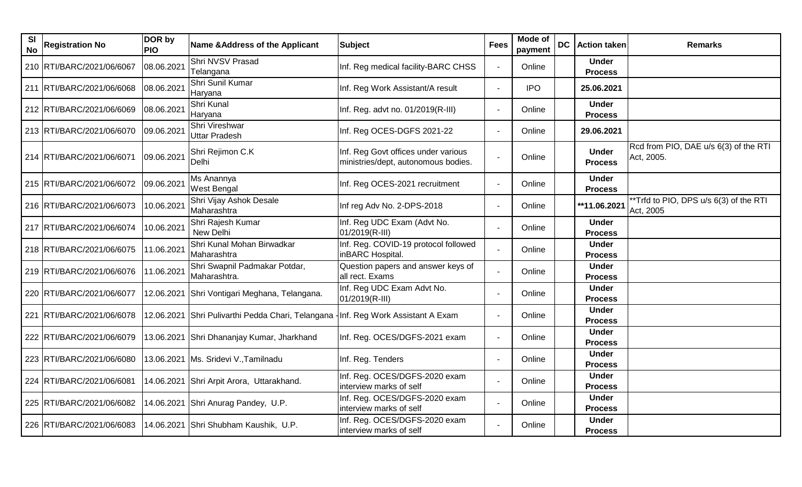| <b>SI</b><br><b>No</b> | <b>Registration No</b>    | DOR by<br><b>PIO</b> | Name & Address of the Applicant                                                    | <b>Subject</b>                                                             | <b>Fees</b> | Mode of<br>payment | <b>DC</b> | <b>Action taken</b>            | <b>Remarks</b>                                      |
|------------------------|---------------------------|----------------------|------------------------------------------------------------------------------------|----------------------------------------------------------------------------|-------------|--------------------|-----------|--------------------------------|-----------------------------------------------------|
|                        | 210 RTI/BARC/2021/06/6067 | 08.06.2021           | Shri NVSV Prasad<br>Telangana                                                      | Inf. Reg medical facility-BARC CHSS                                        |             | Online             |           | <b>Under</b><br><b>Process</b> |                                                     |
|                        | 211 RTI/BARC/2021/06/6068 | 08.06.2021           | Shri Sunil Kumar<br>Haryana                                                        | Inf. Reg Work Assistant/A result                                           |             | <b>IPO</b>         |           | 25.06.2021                     |                                                     |
|                        | 212 RTI/BARC/2021/06/6069 | 08.06.2021           | Shri Kunal<br>Haryana                                                              | Inf. Reg. advt no. 01/2019(R-III)                                          |             | Online             |           | <b>Under</b><br><b>Process</b> |                                                     |
|                        | 213 RTI/BARC/2021/06/6070 | 09.06.2021           | Shri Vireshwar<br><b>Uttar Pradesh</b>                                             | Inf. Reg OCES-DGFS 2021-22                                                 |             | Online             |           | 29.06.2021                     |                                                     |
|                        | 214 RTI/BARC/2021/06/6071 | 09.06.2021           | Shri Rejimon C.K<br>Delhi                                                          | Inf. Reg Govt offices under various<br>ministries/dept, autonomous bodies. |             | Online             |           | <b>Under</b><br><b>Process</b> | Rcd from PIO, DAE u/s 6(3) of the RTI<br>Act, 2005. |
|                        | 215 RTI/BARC/2021/06/6072 | 09.06.2021           | Ms Anannya<br><b>West Bengal</b>                                                   | Inf. Reg OCES-2021 recruitment                                             |             | Online             |           | <b>Under</b><br><b>Process</b> |                                                     |
|                        | 216 RTI/BARC/2021/06/6073 | 10.06.2021           | Shri Vijay Ashok Desale<br>Maharashtra                                             | Inf reg Adv No. 2-DPS-2018                                                 |             | Online             |           | **11.06.2021                   | *Trfd to PIO, DPS u/s 6(3) of the RTI<br>Act, 2005  |
|                        | 217 RTI/BARC/2021/06/6074 | 10.06.2021           | Shri Rajesh Kumar<br>New Delhi                                                     | Inf. Reg UDC Exam (Advt No.<br>01/2019(R-III)                              |             | Online             |           | <b>Under</b><br><b>Process</b> |                                                     |
|                        | 218 RTI/BARC/2021/06/6075 | 11.06.2021           | Shri Kunal Mohan Birwadkar<br>Maharashtra                                          | Inf. Reg. COVID-19 protocol followed<br>inBARC Hospital.                   |             | Online             |           | <b>Under</b><br><b>Process</b> |                                                     |
|                        | 219 RTI/BARC/2021/06/6076 | 11.06.2021           | Shri Swapnil Padmakar Potdar,<br>Maharashtra.                                      | Question papers and answer keys of<br>all rect. Exams                      |             | Online             |           | <b>Under</b><br><b>Process</b> |                                                     |
|                        | 220 RTI/BARC/2021/06/6077 |                      | 12.06.2021 Shri Vontigari Meghana, Telangana.                                      | Inf. Reg UDC Exam Advt No.<br>01/2019(R-III)                               |             | Online             |           | <b>Under</b><br><b>Process</b> |                                                     |
|                        | 221 RTI/BARC/2021/06/6078 |                      | 12.06.2021 Shri Pulivarthi Pedda Chari, Telangana - Inf. Reg Work Assistant A Exam |                                                                            |             | Online             |           | <b>Under</b><br><b>Process</b> |                                                     |
|                        | 222 RTI/BARC/2021/06/6079 |                      | 13.06.2021 Shri Dhananjay Kumar, Jharkhand                                         | Inf. Reg. OCES/DGFS-2021 exam                                              |             | Online             |           | <b>Under</b><br><b>Process</b> |                                                     |
|                        | 223 RTI/BARC/2021/06/6080 |                      | 13.06.2021   Ms. Sridevi V., Tamilnadu                                             | Inf. Reg. Tenders                                                          |             | Online             |           | <b>Under</b><br><b>Process</b> |                                                     |
|                        | 224 RTI/BARC/2021/06/6081 |                      | 14.06.2021 Shri Arpit Arora, Uttarakhand.                                          | Inf. Reg. OCES/DGFS-2020 exam<br>interview marks of self                   |             | Online             |           | <b>Under</b><br><b>Process</b> |                                                     |
|                        | 225 RTI/BARC/2021/06/6082 |                      | 14.06.2021 Shri Anurag Pandey, U.P.                                                | Inf. Reg. OCES/DGFS-2020 exam<br>interview marks of self                   |             | Online             |           | <b>Under</b><br><b>Process</b> |                                                     |
|                        | 226 RTI/BARC/2021/06/6083 |                      | 14.06.2021 Shri Shubham Kaushik, U.P.                                              | Inf. Reg. OCES/DGFS-2020 exam<br>interview marks of self                   |             | Online             |           | <b>Under</b><br><b>Process</b> |                                                     |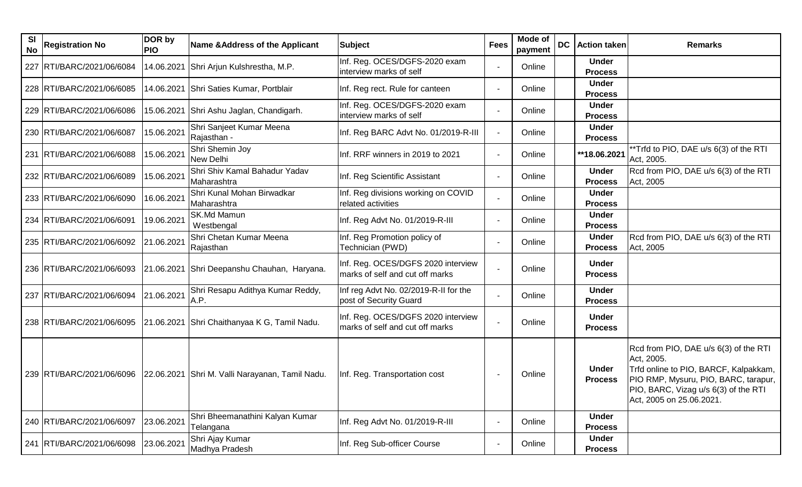| SI<br><b>No</b> | <b>Registration No</b>    | DOR by<br><b>PIO</b> | Name & Address of the Applicant                                           | <b>Subject</b>                                                        | <b>Fees</b>              | Mode of<br>payment | <b>DC</b> | <b>Action taken</b>            | <b>Remarks</b>                                                                                                                                                                                           |
|-----------------|---------------------------|----------------------|---------------------------------------------------------------------------|-----------------------------------------------------------------------|--------------------------|--------------------|-----------|--------------------------------|----------------------------------------------------------------------------------------------------------------------------------------------------------------------------------------------------------|
|                 | 227 RTI/BARC/2021/06/6084 |                      | 14.06.2021 Shri Arjun Kulshrestha, M.P.                                   | Inf. Reg. OCES/DGFS-2020 exam<br>interview marks of self              |                          | Online             |           | <b>Under</b><br><b>Process</b> |                                                                                                                                                                                                          |
|                 | 228 RTI/BARC/2021/06/6085 |                      | 14.06.2021 Shri Saties Kumar, Portblair                                   | Inf. Reg rect. Rule for canteen                                       |                          | Online             |           | <b>Under</b><br><b>Process</b> |                                                                                                                                                                                                          |
|                 | 229 RTI/BARC/2021/06/6086 |                      | 15.06.2021 Shri Ashu Jaglan, Chandigarh.                                  | Inf. Reg. OCES/DGFS-2020 exam<br>interview marks of self              |                          | Online             |           | <b>Under</b><br><b>Process</b> |                                                                                                                                                                                                          |
|                 | 230 RTI/BARC/2021/06/6087 | 15.06.2021           | Shri Sanjeet Kumar Meena<br>Rajasthan -                                   | Inf. Reg BARC Advt No. 01/2019-R-III                                  |                          | Online             |           | <b>Under</b><br><b>Process</b> |                                                                                                                                                                                                          |
|                 | 231 RTI/BARC/2021/06/6088 | 15.06.2021           | Shri Shemin Joy<br>New Delhi                                              | Inf. RRF winners in 2019 to 2021                                      |                          | Online             |           | **18.06.2021                   | **Trfd to PIO, DAE u/s 6(3) of the RTI<br>Act, 2005.                                                                                                                                                     |
|                 | 232 RTI/BARC/2021/06/6089 | 15.06.2021           | Shri Shiv Kamal Bahadur Yadav<br>Maharashtra                              | Inf. Reg Scientific Assistant                                         |                          | Online             |           | <b>Under</b><br><b>Process</b> | Rcd from PIO, DAE u/s 6(3) of the RTI<br>Act, 2005                                                                                                                                                       |
|                 | 233 RTI/BARC/2021/06/6090 | 16.06.2021           | Shri Kunal Mohan Birwadkar<br>Maharashtra                                 | Inf. Reg divisions working on COVID<br>related activities             |                          | Online             |           | <b>Under</b><br><b>Process</b> |                                                                                                                                                                                                          |
|                 | 234 RTI/BARC/2021/06/6091 | 19.06.2021           | <b>SK.Md Mamun</b><br>Westbengal                                          | Inf. Reg Advt No. 01/2019-R-III                                       |                          | Online             |           | <b>Under</b><br><b>Process</b> |                                                                                                                                                                                                          |
|                 | 235 RTI/BARC/2021/06/6092 | 21.06.2021           | Shri Chetan Kumar Meena<br>Rajasthan                                      | Inf. Reg Promotion policy of<br>Technician (PWD)                      |                          | Online             |           | <b>Under</b><br><b>Process</b> | Rcd from PIO, DAE u/s 6(3) of the RTI<br>Act, 2005                                                                                                                                                       |
|                 |                           |                      | 236 RTI/BARC/2021/06/6093 21.06.2021 Shri Deepanshu Chauhan, Haryana.     | Inf. Reg. OCES/DGFS 2020 interview<br>marks of self and cut off marks |                          | Online             |           | <b>Under</b><br><b>Process</b> |                                                                                                                                                                                                          |
|                 | 237 RTI/BARC/2021/06/6094 | 21.06.2021           | Shri Resapu Adithya Kumar Reddy,<br>A.P.                                  | Inf reg Advt No. 02/2019-R-II for the<br>post of Security Guard       |                          | Online             |           | <b>Under</b><br><b>Process</b> |                                                                                                                                                                                                          |
|                 | 238 RTI/BARC/2021/06/6095 |                      | 21.06.2021 Shri Chaithanyaa K G, Tamil Nadu.                              | Inf. Reg. OCES/DGFS 2020 interview<br>marks of self and cut off marks |                          | Online             |           | <b>Under</b><br><b>Process</b> |                                                                                                                                                                                                          |
|                 |                           |                      | 239 RTI/BARC/2021/06/6096 22.06.2021 Shri M. Valli Narayanan, Tamil Nadu. | Inf. Reg. Transportation cost                                         |                          | Online             |           | <b>Under</b><br><b>Process</b> | Rcd from PIO, DAE u/s 6(3) of the RTI<br>Act, 2005.<br>Trfd online to PIO, BARCF, Kalpakkam,<br>PIO RMP, Mysuru, PIO, BARC, tarapur,<br>PIO, BARC, Vizag u/s 6(3) of the RTI<br>Act, 2005 on 25.06.2021. |
|                 | 240 RTI/BARC/2021/06/6097 | 23.06.2021           | Shri Bheemanathini Kalyan Kumar<br>Telangana                              | Inf. Reg Advt No. 01/2019-R-III                                       | $\overline{\phantom{a}}$ | Online             |           | <b>Under</b><br><b>Process</b> |                                                                                                                                                                                                          |
|                 | 241 RTI/BARC/2021/06/6098 | 23.06.2021           | Shri Ajay Kumar<br>Madhya Pradesh                                         | Inf. Reg Sub-officer Course                                           | $\blacksquare$           | Online             |           | <b>Under</b><br><b>Process</b> |                                                                                                                                                                                                          |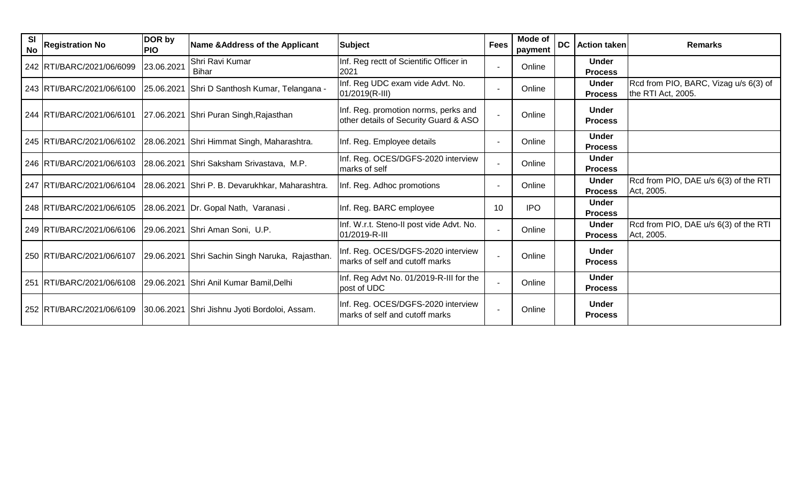| SI<br><b>No</b> | <b>Registration No</b>    | DOR by<br><b>PIO</b> | <b>Name &amp;Address of the Applicant</b>       | Subject                                                                       | <b>Fees</b> | Mode of<br>payment | <b>DC</b> | <b>Action taken</b>            | <b>Remarks</b>                                              |
|-----------------|---------------------------|----------------------|-------------------------------------------------|-------------------------------------------------------------------------------|-------------|--------------------|-----------|--------------------------------|-------------------------------------------------------------|
|                 | 242 RTI/BARC/2021/06/6099 | 23.06.2021           | Shri Ravi Kumar<br><b>Bihar</b>                 | Inf. Reg rectt of Scientific Officer in<br>2021                               |             | Online             |           | <b>Under</b><br><b>Process</b> |                                                             |
|                 | 243 RTI/BARC/2021/06/6100 |                      | 25.06.2021 Shri D Santhosh Kumar, Telangana -   | Inf. Reg UDC exam vide Advt. No.<br>01/2019(R-III)                            |             | Online             |           | <b>Under</b><br><b>Process</b> | Rcd from PIO, BARC, Vizag u/s 6(3) of<br>the RTI Act, 2005. |
|                 | 244 RTI/BARC/2021/06/6101 |                      | 27.06.2021 Shri Puran Singh, Rajasthan          | Inf. Reg. promotion norms, perks and<br>other details of Security Guard & ASO |             | Online             |           | <b>Under</b><br><b>Process</b> |                                                             |
|                 | 245 RTI/BARC/2021/06/6102 | 28.06.2021           | Shri Himmat Singh, Maharashtra.                 | Inf. Reg. Employee details                                                    |             | Online             |           | <b>Under</b><br><b>Process</b> |                                                             |
|                 | 246 RTI/BARC/2021/06/6103 |                      | 28.06.2021 Shri Saksham Srivastava, M.P.        | Inf. Reg. OCES/DGFS-2020 interview<br>marks of self                           |             | Online             |           | <b>Under</b><br><b>Process</b> |                                                             |
|                 | 247 RTI/BARC/2021/06/6104 |                      | 28.06.2021 Shri P. B. Devarukhkar, Maharashtra. | Inf. Reg. Adhoc promotions                                                    |             | Online             |           | <b>Under</b><br><b>Process</b> | Rcd from PIO, DAE u/s 6(3) of the RTI<br>Act, 2005.         |
|                 | 248 RTI/BARC/2021/06/6105 |                      | 28.06.2021 Dr. Gopal Nath, Varanasi.            | Inf. Reg. BARC employee                                                       | 10          | <b>IPO</b>         |           | <b>Under</b><br><b>Process</b> |                                                             |
|                 | 249 RTI/BARC/2021/06/6106 |                      | 29.06.2021 Shri Aman Soni, U.P.                 | Inf. W.r.t. Steno-II post vide Advt. No.<br>01/2019-R-III                     |             | Online             |           | <b>Under</b><br><b>Process</b> | Rcd from PIO, DAE u/s 6(3) of the RTI<br>Act, 2005.         |
|                 | 250 RTI/BARC/2021/06/6107 |                      | 29.06.2021 Shri Sachin Singh Naruka, Rajasthan. | Inf. Reg. OCES/DGFS-2020 interview<br>marks of self and cutoff marks          |             | Online             |           | <b>Under</b><br><b>Process</b> |                                                             |
|                 | 251 RTI/BARC/2021/06/6108 | 29.06.2021           | Shri Anil Kumar Bamil, Delhi                    | Inf. Reg Advt No. 01/2019-R-III for the<br>post of UDC                        |             | Online             |           | <b>Under</b><br><b>Process</b> |                                                             |
|                 | 252 RTI/BARC/2021/06/6109 |                      | 30.06.2021 Shri Jishnu Jyoti Bordoloi, Assam.   | Inf. Reg. OCES/DGFS-2020 interview<br>marks of self and cutoff marks          |             | Online             |           | <b>Under</b><br><b>Process</b> |                                                             |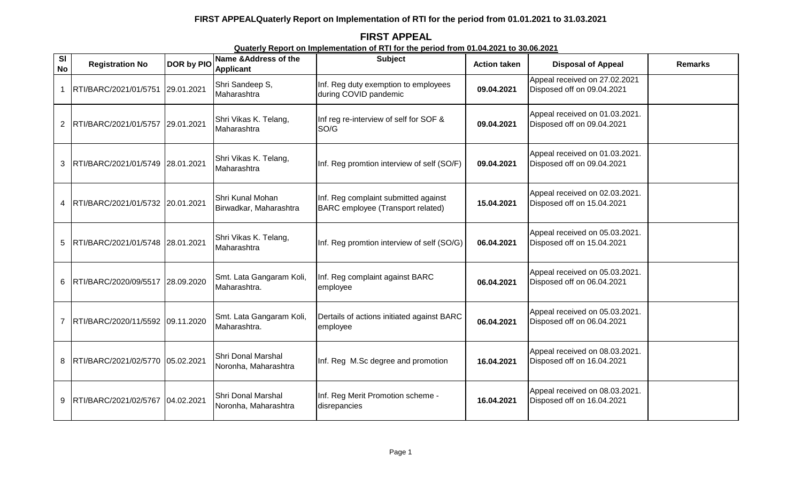**FIRST APPEAL Quaterly Report on Implementation of RTI for the period from 01.04.2021 to 30.06.2021**

| SI<br><b>No</b> | <b>Registration No</b>           | <b>DOR by PIO</b> | Name & Address of the<br><b>Applicant</b>  | <b>Subject</b>                                                            | <b>Action taken</b> | <b>Disposal of Appeal</b>                                    | <b>Remarks</b> |
|-----------------|----------------------------------|-------------------|--------------------------------------------|---------------------------------------------------------------------------|---------------------|--------------------------------------------------------------|----------------|
|                 | RTI/BARC/2021/01/5751            | 29.01.2021        | Shri Sandeep S,<br>Maharashtra             | Inf. Reg duty exemption to employees<br>during COVID pandemic             | 09.04.2021          | Appeal received on 27.02.2021<br>Disposed off on 09.04.2021  |                |
| $\overline{2}$  | RTI/BARC/2021/01/5757            | 29.01.2021        | Shri Vikas K. Telang,<br>Maharashtra       | Inf reg re-interview of self for SOF &<br>SO/G                            | 09.04.2021          | Appeal received on 01.03.2021.<br>Disposed off on 09.04.2021 |                |
| 3               | RTI/BARC/2021/01/5749 28.01.2021 |                   | Shri Vikas K. Telang,<br>Maharashtra       | Inf. Reg promtion interview of self (SO/F)                                | 09.04.2021          | Appeal received on 01.03.2021.<br>Disposed off on 09.04.2021 |                |
| 4               | RTI/BARC/2021/01/5732 20.01.2021 |                   | Shri Kunal Mohan<br>Birwadkar, Maharashtra | Inf. Reg complaint submitted against<br>BARC employee (Transport related) | 15.04.2021          | Appeal received on 02.03.2021.<br>Disposed off on 15.04.2021 |                |
| 5               | RTI/BARC/2021/01/5748 28.01.2021 |                   | Shri Vikas K. Telang,<br>Maharashtra       | Inf. Reg promtion interview of self (SO/G)                                | 06.04.2021          | Appeal received on 05.03.2021.<br>Disposed off on 15.04.2021 |                |
| 6               | RTI/BARC/2020/09/5517 28.09.2020 |                   | Smt. Lata Gangaram Koli,<br>Maharashtra.   | Inf. Reg complaint against BARC<br>employee                               | 06.04.2021          | Appeal received on 05.03.2021.<br>Disposed off on 06.04.2021 |                |
|                 | RTI/BARC/2020/11/5592 09.11.2020 |                   | Smt. Lata Gangaram Koli,<br>Maharashtra.   | Dertails of actions initiated against BARC<br>employee                    | 06.04.2021          | Appeal received on 05.03.2021.<br>Disposed off on 06.04.2021 |                |
| 8               | RTI/BARC/2021/02/5770 05.02.2021 |                   | Shri Donal Marshal<br>Noronha, Maharashtra | Inf. Reg M.Sc degree and promotion                                        | 16.04.2021          | Appeal received on 08.03.2021.<br>Disposed off on 16.04.2021 |                |
| 9               | RTI/BARC/2021/02/5767            | 04.02.2021        | Shri Donal Marshal<br>Noronha, Maharashtra | Inf. Reg Merit Promotion scheme -<br>disrepancies                         | 16.04.2021          | Appeal received on 08.03.2021.<br>Disposed off on 16.04.2021 |                |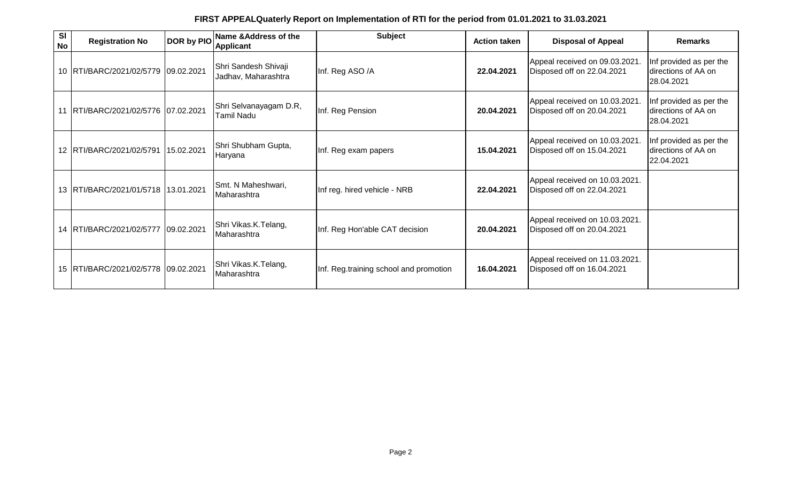| <b>SI</b><br><b>No</b> | <b>Registration No</b>                  | DOR by PIO | Name & Address of the<br><b>Applicant</b>   | <b>Subject</b>                         | <b>Action taken</b> | <b>Disposal of Appeal</b>                                    | <b>Remarks</b>                                               |
|------------------------|-----------------------------------------|------------|---------------------------------------------|----------------------------------------|---------------------|--------------------------------------------------------------|--------------------------------------------------------------|
|                        | 10 RTI/BARC/2021/02/5779 09.02.2021     |            | Shri Sandesh Shivaji<br>Jadhav, Maharashtra | Inf. Reg ASO /A                        | 22.04.2021          | Appeal received on 09.03.2021.<br>Disposed off on 22.04.2021 | Inf provided as per the<br>directions of AA on<br>28.04.2021 |
|                        | 11 RTI/BARC/2021/02/5776 07.02.2021     |            | Shri Selvanayagam D.R,<br><b>Tamil Nadu</b> | Inf. Reg Pension                       | 20.04.2021          | Appeal received on 10.03.2021.<br>Disposed off on 20.04.2021 | Inf provided as per the<br>directions of AA on<br>28.04.2021 |
|                        | 12 RTI/BARC/2021/02/5791                | 15.02.2021 | Shri Shubham Gupta,<br>Haryana              | Inf. Reg exam papers                   | 15.04.2021          | Appeal received on 10.03.2021.<br>Disposed off on 15.04.2021 | Inf provided as per the<br>directions of AA on<br>22.04.2021 |
|                        | 13 RTI/BARC/2021/01/5718 13.01.2021     |            | Smt. N Maheshwari,<br>Maharashtra           | Inf reg. hired vehicle - NRB           | 22.04.2021          | Appeal received on 10.03.2021.<br>Disposed off on 22.04.2021 |                                                              |
|                        | 14 RTI/BARC/2021/02/5777                | 09.02.2021 | Shri Vikas.K.Telang,<br>Maharashtra         | Inf. Reg Hon'able CAT decision         | 20.04.2021          | Appeal received on 10.03.2021.<br>Disposed off on 20.04.2021 |                                                              |
|                        | 15   RTI/BARC/2021/02/5778   09.02.2021 |            | Shri Vikas.K.Telang,<br>Maharashtra         | Inf. Reg.training school and promotion | 16.04.2021          | Appeal received on 11.03.2021.<br>Disposed off on 16.04.2021 |                                                              |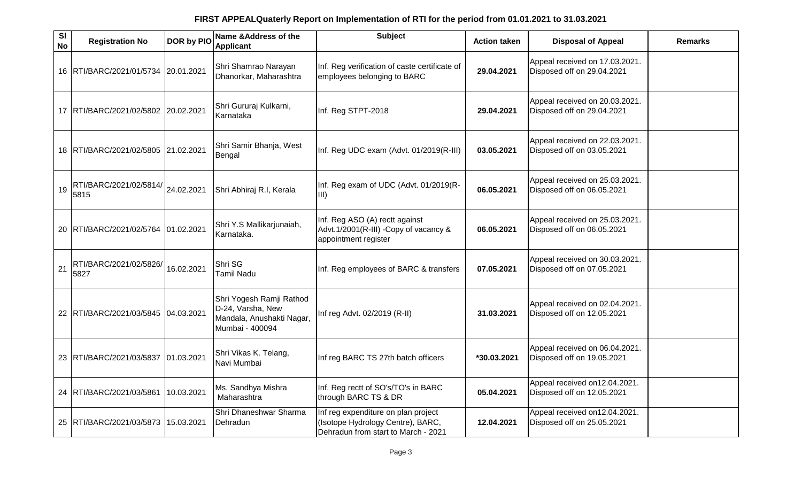| SI<br><b>No</b> | <b>Registration No</b>         | DOR by PIO | Name & Address of the<br>Applicant                                                            | <b>Subject</b>                                                                                                  | <b>Action taken</b> | <b>Disposal of Appeal</b>                                    | <b>Remarks</b> |
|-----------------|--------------------------------|------------|-----------------------------------------------------------------------------------------------|-----------------------------------------------------------------------------------------------------------------|---------------------|--------------------------------------------------------------|----------------|
|                 | 16 RTI/BARC/2021/01/5734       | 20.01.2021 | Shri Shamrao Narayan<br>Dhanorkar, Maharashtra                                                | Inf. Reg verification of caste certificate of<br>employees belonging to BARC                                    | 29.04.2021          | Appeal received on 17.03.2021.<br>Disposed off on 29.04.2021 |                |
|                 | 17 RTI/BARC/2021/02/5802       | 20.02.2021 | Shri Gururaj Kulkarni,<br>Karnataka                                                           | Inf. Reg STPT-2018                                                                                              | 29.04.2021          | Appeal received on 20.03.2021.<br>Disposed off on 29.04.2021 |                |
|                 | 18 RTI/BARC/2021/02/5805       | 21.02.2021 | Shri Samir Bhanja, West<br>Bengal                                                             | Inf. Reg UDC exam (Advt. 01/2019(R-III)                                                                         | 03.05.2021          | Appeal received on 22.03.2021.<br>Disposed off on 03.05.2021 |                |
| 19              | RTI/BARC/2021/02/5814/<br>5815 | 24.02.2021 | Shri Abhiraj R.I, Kerala                                                                      | Inf. Reg exam of UDC (Advt. 01/2019(R-<br>$\vert$ III)                                                          | 06.05.2021          | Appeal received on 25.03.2021.<br>Disposed off on 06.05.2021 |                |
|                 | 20 RTI/BARC/2021/02/5764       | 01.02.2021 | Shri Y.S Mallikarjunaiah,<br>Karnataka.                                                       | Inf. Reg ASO (A) rectt against<br>Advt.1/2001(R-III) - Copy of vacancy &<br>appointment register                | 06.05.2021          | Appeal received on 25.03.2021.<br>Disposed off on 06.05.2021 |                |
| 21              | RTI/BARC/2021/02/5826/<br>5827 | 16.02.2021 | Shri SG<br><b>Tamil Nadu</b>                                                                  | Inf. Reg employees of BARC & transfers                                                                          | 07.05.2021          | Appeal received on 30.03.2021.<br>Disposed off on 07.05.2021 |                |
|                 | 22 RTI/BARC/2021/03/5845       | 04.03.2021 | Shri Yogesh Ramji Rathod<br>D-24, Varsha, New<br>Mandala, Anushakti Nagar,<br>Mumbai - 400094 | Inf reg Advt. 02/2019 (R-II)                                                                                    | 31.03.2021          | Appeal received on 02.04.2021.<br>Disposed off on 12.05.2021 |                |
|                 | 23 RTI/BARC/2021/03/5837       | 01.03.2021 | Shri Vikas K. Telang,<br>Navi Mumbai                                                          | Inf reg BARC TS 27th batch officers                                                                             | *30.03.2021         | Appeal received on 06.04.2021.<br>Disposed off on 19.05.2021 |                |
|                 | 24 RTI/BARC/2021/03/5861       | 10.03.2021 | Ms. Sandhya Mishra<br>Maharashtra                                                             | Inf. Reg rectt of SO's/TO's in BARC<br>through BARC TS & DR                                                     | 05.04.2021          | Appeal received on12.04.2021.<br>Disposed off on 12.05.2021  |                |
|                 | 25 RTI/BARC/2021/03/5873       | 15.03.2021 | Shri Dhaneshwar Sharma<br>Dehradun                                                            | Inf reg expenditure on plan project<br>(Isotope Hydrology Centre), BARC,<br>Dehradun from start to March - 2021 | 12.04.2021          | Appeal received on12.04.2021.<br>Disposed off on 25.05.2021  |                |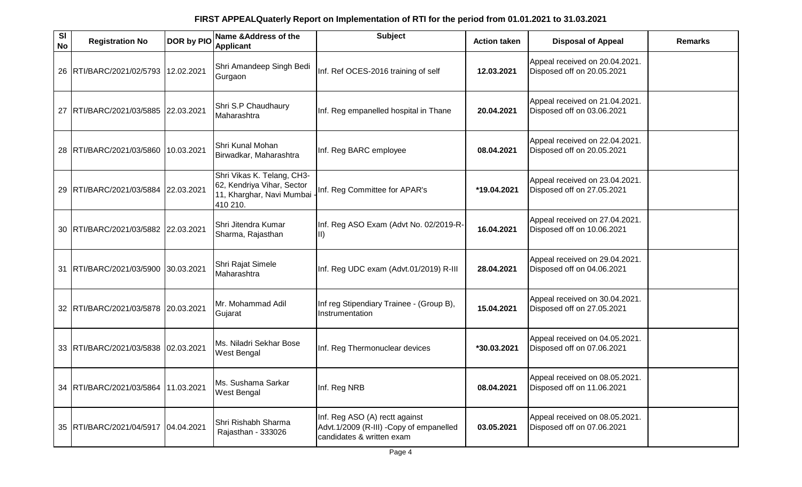| SI<br><b>No</b> | <b>Registration No</b>              | DOR by PIO | Name & Address of the<br><b>Applicant</b>                                                         | <b>Subject</b>                                                                                         | <b>Action taken</b> | <b>Disposal of Appeal</b>                                    | <b>Remarks</b> |
|-----------------|-------------------------------------|------------|---------------------------------------------------------------------------------------------------|--------------------------------------------------------------------------------------------------------|---------------------|--------------------------------------------------------------|----------------|
|                 | 26 RTI/BARC/2021/02/5793            | 12.02.2021 | Shri Amandeep Singh Bedi<br>Gurgaon                                                               | Inf. Ref OCES-2016 training of self                                                                    | 12.03.2021          | Appeal received on 20.04.2021.<br>Disposed off on 20.05.2021 |                |
|                 | 27 RTI/BARC/2021/03/5885            | 22.03.2021 | Shri S.P Chaudhaury<br>Maharashtra                                                                | Inf. Reg empanelled hospital in Thane                                                                  | 20.04.2021          | Appeal received on 21.04.2021.<br>Disposed off on 03.06.2021 |                |
|                 | 28 RTI/BARC/2021/03/5860            | 10.03.2021 | Shri Kunal Mohan<br>Birwadkar, Maharashtra                                                        | Inf. Reg BARC employee                                                                                 | 08.04.2021          | Appeal received on 22.04.2021.<br>Disposed off on 20.05.2021 |                |
|                 | 29 RTI/BARC/2021/03/5884            | 22.03.2021 | Shri Vikas K. Telang, CH3-<br>62, Kendriya Vihar, Sector<br>11, Kharghar, Navi Mumbai<br>410 210. | Inf. Reg Committee for APAR's                                                                          | *19.04.2021         | Appeal received on 23.04.2021.<br>Disposed off on 27.05.2021 |                |
|                 | 30 RTI/BARC/2021/03/5882 22.03.2021 |            | Shri Jitendra Kumar<br>Sharma, Rajasthan                                                          | Inf. Reg ASO Exam (Advt No. 02/2019-R-<br>III)                                                         | 16.04.2021          | Appeal received on 27.04.2021.<br>Disposed off on 10.06.2021 |                |
|                 | 31  RTI/BARC/2021/03/5900           | 30.03.2021 | Shri Rajat Simele<br>Maharashtra                                                                  | Inf. Reg UDC exam (Advt.01/2019) R-III                                                                 | 28.04.2021          | Appeal received on 29.04.2021.<br>Disposed off on 04.06.2021 |                |
|                 | 32 RTI/BARC/2021/03/5878 20.03.2021 |            | Mr. Mohammad Adil<br>Gujarat                                                                      | Inf reg Stipendiary Trainee - (Group B),<br>Instrumentation                                            | 15.04.2021          | Appeal received on 30.04.2021.<br>Disposed off on 27.05.2021 |                |
|                 | 33 RTI/BARC/2021/03/5838 02.03.2021 |            | Ms. Niladri Sekhar Bose<br>West Bengal                                                            | Inf. Reg Thermonuclear devices                                                                         | *30.03.2021         | Appeal received on 04.05.2021.<br>Disposed off on 07.06.2021 |                |
|                 | 34 RTI/BARC/2021/03/5864 11.03.2021 |            | Ms. Sushama Sarkar<br><b>West Bengal</b>                                                          | Inf. Reg NRB                                                                                           | 08.04.2021          | Appeal received on 08.05.2021.<br>Disposed off on 11.06.2021 |                |
|                 | 35 RTI/BARC/2021/04/5917            | 04.04.2021 | Shri Rishabh Sharma<br>Rajasthan - 333026                                                         | Inf. Reg ASO (A) rectt against<br>Advt.1/2009 (R-III) -Copy of empanelled<br>candidates & written exam | 03.05.2021          | Appeal received on 08.05.2021.<br>Disposed off on 07.06.2021 |                |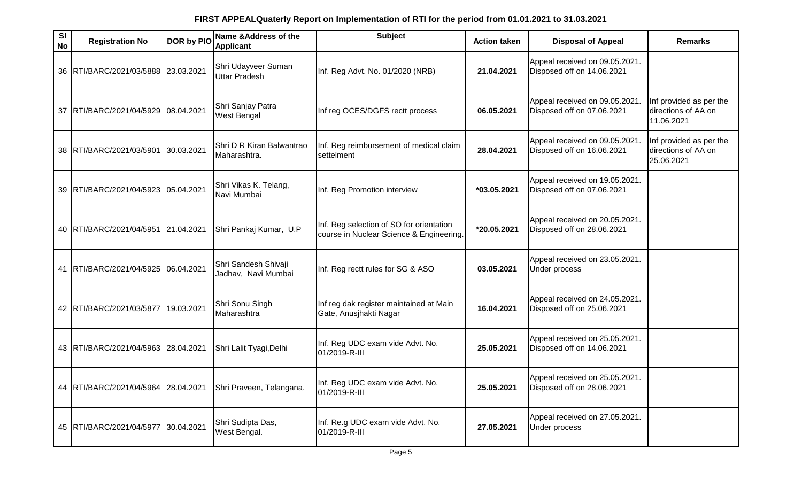| $\overline{\mathbf{s}}$<br><b>No</b> | <b>Registration No</b>              | DOR by PIO | Name & Address of the<br><b>Applicant</b>   | <b>Subject</b>                                                                       | <b>Action taken</b> | <b>Disposal of Appeal</b>                                    | <b>Remarks</b>                                               |
|--------------------------------------|-------------------------------------|------------|---------------------------------------------|--------------------------------------------------------------------------------------|---------------------|--------------------------------------------------------------|--------------------------------------------------------------|
|                                      | 36 RTI/BARC/2021/03/5888            | 23.03.2021 | Shri Udayveer Suman<br><b>Uttar Pradesh</b> | Inf. Reg Advt. No. 01/2020 (NRB)                                                     | 21.04.2021          | Appeal received on 09.05.2021.<br>Disposed off on 14.06.2021 |                                                              |
|                                      | 37 RTI/BARC/2021/04/5929            | 08.04.2021 | Shri Sanjay Patra<br><b>West Bengal</b>     | Inf reg OCES/DGFS rectt process                                                      | 06.05.2021          | Appeal received on 09.05.2021.<br>Disposed off on 07.06.2021 | Inf provided as per the<br>directions of AA on<br>11.06.2021 |
|                                      | 38 RTI/BARC/2021/03/5901            | 30.03.2021 | Shri D R Kiran Balwantrao<br>Maharashtra.   | Inf. Reg reimbursement of medical claim<br>settelment                                | 28.04.2021          | Appeal received on 09.05.2021<br>Disposed off on 16.06.2021  | Inf provided as per the<br>directions of AA on<br>25.06.2021 |
|                                      | 39 RTI/BARC/2021/04/5923            | 05.04.2021 | Shri Vikas K. Telang,<br>Navi Mumbai        | Inf. Reg Promotion interview                                                         | *03.05.2021         | Appeal received on 19.05.2021.<br>Disposed off on 07.06.2021 |                                                              |
|                                      | 40 RTI/BARC/2021/04/5951            | 21.04.2021 | Shri Pankaj Kumar, U.P                      | Inf. Reg selection of SO for orientation<br>course in Nuclear Science & Engineering. | *20.05.2021         | Appeal received on 20.05.2021.<br>Disposed off on 28.06.2021 |                                                              |
|                                      | 41   RTI/BARC/2021/04/5925          | 06.04.2021 | Shri Sandesh Shivaji<br>Jadhav, Navi Mumbai | Inf. Reg rectt rules for SG & ASO                                                    | 03.05.2021          | Appeal received on 23.05.2021.<br><b>Under process</b>       |                                                              |
|                                      | 42 RTI/BARC/2021/03/5877            | 19.03.2021 | Shri Sonu Singh<br>Maharashtra              | Inf reg dak register maintained at Main<br>Gate, Anusjhakti Nagar                    | 16.04.2021          | Appeal received on 24.05.2021.<br>Disposed off on 25.06.2021 |                                                              |
|                                      | 43 RTI/BARC/2021/04/5963 28.04.2021 |            | Shri Lalit Tyagi, Delhi                     | Inf. Reg UDC exam vide Advt. No.<br>01/2019-R-III                                    | 25.05.2021          | Appeal received on 25.05.2021.<br>Disposed off on 14.06.2021 |                                                              |
|                                      | 44 RTI/BARC/2021/04/5964 28.04.2021 |            | Shri Praveen, Telangana.                    | Inf. Reg UDC exam vide Advt. No.<br>01/2019-R-III                                    | 25.05.2021          | Appeal received on 25.05.2021.<br>Disposed off on 28.06.2021 |                                                              |
|                                      | 45   RTI/BARC/2021/04/5977          | 30.04.2021 | Shri Sudipta Das,<br>West Bengal.           | Inf. Re.g UDC exam vide Advt. No.<br>01/2019-R-III                                   | 27.05.2021          | Appeal received on 27.05.2021.<br><b>Under process</b>       |                                                              |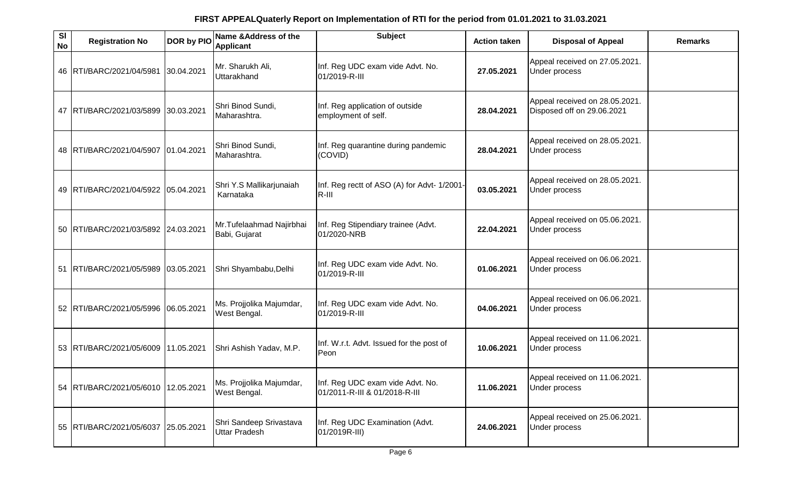| SI<br><b>No</b> | <b>Registration No</b>              | DOR by PIO | Name & Address of the<br><b>Applicant</b>       | <b>Subject</b>                                                    | <b>Action taken</b> | <b>Disposal of Appeal</b>                                    | <b>Remarks</b> |
|-----------------|-------------------------------------|------------|-------------------------------------------------|-------------------------------------------------------------------|---------------------|--------------------------------------------------------------|----------------|
|                 | 46 RTI/BARC/2021/04/5981            | 30.04.2021 | Mr. Sharukh Ali,<br>Uttarakhand                 | Inf. Reg UDC exam vide Advt. No.<br>01/2019-R-III                 | 27.05.2021          | Appeal received on 27.05.2021.<br>Under process              |                |
|                 | 47   RTI/BARC/2021/03/5899          | 30.03.2021 | Shri Binod Sundi,<br>Maharashtra.               | Inf. Reg application of outside<br>employment of self.            | 28.04.2021          | Appeal received on 28.05.2021.<br>Disposed off on 29.06.2021 |                |
|                 | 48 RTI/BARC/2021/04/5907 01.04.2021 |            | Shri Binod Sundi,<br>Maharashtra.               | Inf. Reg quarantine during pandemic<br>(COVID)                    | 28.04.2021          | Appeal received on 28.05.2021.<br>Under process              |                |
|                 | 49   RTI/BARC/2021/04/5922          | 05.04.2021 | Shri Y.S Mallikarjunaiah<br>Karnataka           | Inf. Reg rectt of ASO (A) for Advt- 1/2001-<br>$R$ -III           | 03.05.2021          | Appeal received on 28.05.2021.<br>Under process              |                |
|                 | 50 RTI/BARC/2021/03/5892 24.03.2021 |            | Mr. Tufelaahmad Najirbhai<br>Babi, Gujarat      | Inf. Reg Stipendiary trainee (Advt.<br>01/2020-NRB                | 22.04.2021          | Appeal received on 05.06.2021.<br>Under process              |                |
|                 | 51 RTI/BARC/2021/05/5989            | 03.05.2021 | Shri Shyambabu, Delhi                           | Inf. Reg UDC exam vide Advt. No.<br>01/2019-R-III                 | 01.06.2021          | Appeal received on 06.06.2021.<br>Under process              |                |
|                 | 52 RTI/BARC/2021/05/5996            | 06.05.2021 | Ms. Projjolika Majumdar,<br>West Bengal.        | Inf. Reg UDC exam vide Advt. No.<br>01/2019-R-III                 | 04.06.2021          | Appeal received on 06.06.2021.<br>Under process              |                |
|                 | 53 RTI/BARC/2021/05/6009 11.05.2021 |            | Shri Ashish Yadav, M.P.                         | Inf. W.r.t. Advt. Issued for the post of<br>Peon                  | 10.06.2021          | Appeal received on 11.06.2021.<br>Under process              |                |
|                 | 54 RTI/BARC/2021/05/6010 12.05.2021 |            | Ms. Projjolika Majumdar,<br>West Bengal.        | Inf. Reg UDC exam vide Advt. No.<br>01/2011-R-III & 01/2018-R-III | 11.06.2021          | Appeal received on 11.06.2021.<br>Under process              |                |
|                 | 55 RTI/BARC/2021/05/6037            | 25.05.2021 | Shri Sandeep Srivastava<br><b>Uttar Pradesh</b> | Inf. Reg UDC Examination (Advt.<br>01/2019R-III)                  | 24.06.2021          | Appeal received on 25.06.2021.<br>Under process              |                |